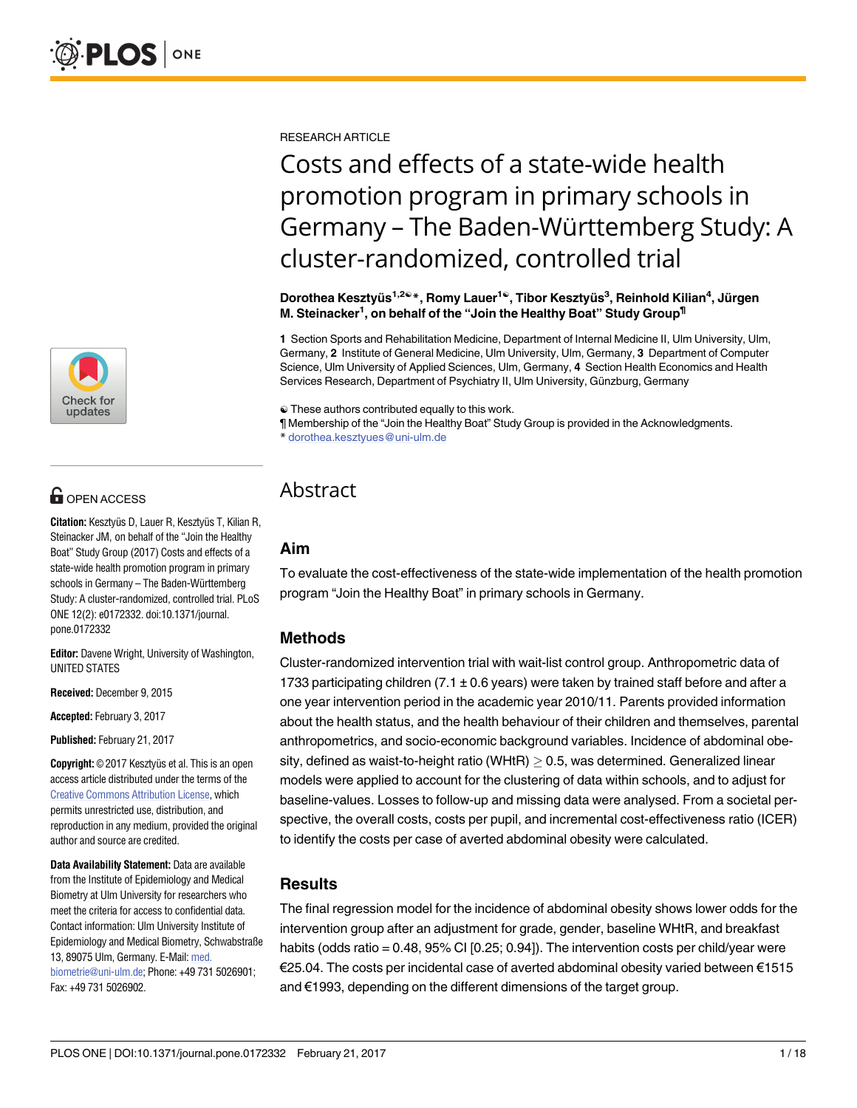

# **OPEN ACCESS**

**Citation:** Kesztyüs D, Lauer R, Kesztyüs T, Kilian R, Steinacker JM, on behalf of the "Join the Healthy Boat" Study Group (2017) Costs and effects of a state-wide health promotion program in primary schools in Germany - The Baden-Württemberg Study: A cluster-randomized, controlled trial. PLoS ONE 12(2): e0172332. doi:10.1371/journal. pone.0172332

**Editor:** Davene Wright, University of Washington, UNITED STATES

**Received:** December 9, 2015

**Accepted:** February 3, 2017

**Published:** February 21, 2017

**Copyright:** © 2017 Kesztyüs et al. This is an open access article distributed under the terms of the Creative Commons [Attribution](http://creativecommons.org/licenses/by/4.0/) License, which permits unrestricted use, distribution, and reproduction in any medium, provided the original author and source are credited.

**Data Availability Statement:** Data are available from the Institute of Epidemiology and Medical Biometry at Ulm University for researchers who meet the criteria for access to confidential data. Contact information: Ulm University Institute of Epidemiology and Medical Biometry, Schwabstraße 13, 89075 Ulm, Germany. E-Mail: [med.](mailto:med.biometrie@uni-ulm.de) [biometrie@uni-ulm.de](mailto:med.biometrie@uni-ulm.de); Phone: +49 731 5026901; Fax: +49 731 5026902.

RESEARCH ARTICLE

# Costs and effects of a state-wide health promotion program in primary schools in Germany – The Baden-Württemberg Study: A cluster-randomized, controlled trial

**Dorothea Kesztyu¨s1,2**☯**\*, Romy Lauer1**☯**, Tibor Kesztyu¨s3 , Reinhold Kilian4 , Ju¨rgen M. Steinacker1 , on behalf of the "Join the Healthy Boat" Study Group¶**

**1** Section Sports and Rehabilitation Medicine, Department of Internal Medicine II, Ulm University, Ulm, Germany, **2** Institute of General Medicine, Ulm University, Ulm, Germany, **3** Department of Computer Science, Ulm University of Applied Sciences, Ulm, Germany, **4** Section Health Economics and Health Services Research, Department of Psychiatry II, Ulm University, Günzburg, Germany

☯ These authors contributed equally to this work.

¶ Membership of the "Join the Healthy Boat" Study Group is provided in the Acknowledgments. \* dorothea.kesztyues@uni-ulm.de

# Abstract

# **Aim**

To evaluate the cost-effectiveness of the state-wide implementation of the health promotion program "Join the Healthy Boat" in primary schools in Germany.

# **Methods**

Cluster-randomized intervention trial with wait-list control group. Anthropometric data of 1733 participating children (7.1  $\pm$  0.6 years) were taken by trained staff before and after a one year intervention period in the academic year 2010/11. Parents provided information about the health status, and the health behaviour of their children and themselves, parental anthropometrics, and socio-economic background variables. Incidence of abdominal obesity, defined as waist-to-height ratio (WHtR)  $\geq$  0.5, was determined. Generalized linear models were applied to account for the clustering of data within schools, and to adjust for baseline-values. Losses to follow-up and missing data were analysed. From a societal perspective, the overall costs, costs per pupil, and incremental cost-effectiveness ratio (ICER) to identify the costs per case of averted abdominal obesity were calculated.

# **Results**

The final regression model for the incidence of abdominal obesity shows lower odds for the intervention group after an adjustment for grade, gender, baseline WHtR, and breakfast habits (odds ratio = 0.48, 95% CI [0.25; 0.94]). The intervention costs per child/year were €25.04. The costs per incidental case of averted abdominal obesity varied between €1515 and €1993, depending on the different dimensions of the target group.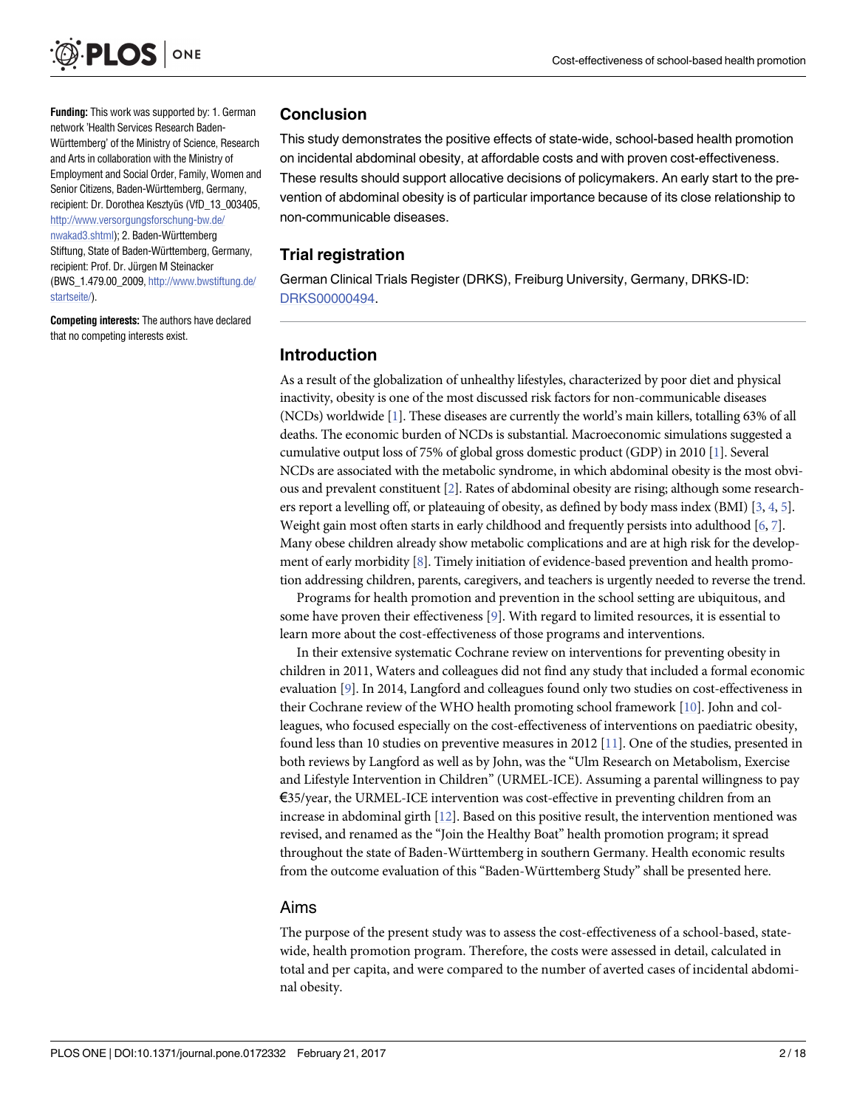<span id="page-1-0"></span>

**Funding:** This work was supported by: 1. German network 'Health Services Research Baden-Württemberg' of the Ministry of Science, Research and Arts in collaboration with the Ministry of Employment and Social Order, Family, Women and Senior Citizens, Baden-Württemberg, Germany, recipient: Dr. Dorothea Kesztyüs (VfD\_13\_003405, [http://www.versorgungsforschung-bw.de/](http://www.versorgungsforschung-bw.de/nwakad3.shtml) [nwakad3.shtml](http://www.versorgungsforschung-bw.de/nwakad3.shtml)); 2. Baden-Württemberg Stiftung, State of Baden-Württemberg, Germany, recipient: Prof. Dr. Jürgen M Steinacker (BWS\_1.479.00\_2009, [http://www.bwstiftung.de/](http://www.bwstiftung.de/startseite/) [startseite/](http://www.bwstiftung.de/startseite/)).

**Competing interests:** The authors have declared that no competing interests exist.

#### **Conclusion**

This study demonstrates the positive effects of state-wide, school-based health promotion on incidental abdominal obesity, at affordable costs and with proven cost-effectiveness. These results should support allocative decisions of policymakers. An early start to the prevention of abdominal obesity is of particular importance because of its close relationship to non-communicable diseases.

#### **Trial registration**

German Clinical Trials Register (DRKS), Freiburg University, Germany, DRKS-ID: [DRKS00000494.](https://clinicaltrials.gov/ct2/show/DRKS00000494)

#### **Introduction**

As a result of the globalization of unhealthy lifestyles, characterized by poor diet and physical inactivity, obesity is one of the most discussed risk factors for non-communicable diseases (NCDs) worldwide [\[1\]](#page-15-0). These diseases are currently the world's main killers, totalling 63% of all deaths. The economic burden of NCDs is substantial. Macroeconomic simulations suggested a cumulative output loss of 75% of global gross domestic product (GDP) in 2010 [[1](#page-15-0)]. Several NCDs are associated with the metabolic syndrome, in which abdominal obesity is the most obvious and prevalent constituent [\[2\]](#page-15-0). Rates of abdominal obesity are rising; although some research-ers report a levelling off, or plateauing of obesity, as defined by body mass index (BMI) [\[3,](#page-15-0) [4,](#page-15-0) [5\]](#page-15-0). Weight gain most often starts in early childhood and frequently persists into adulthood [\[6,](#page-15-0) [7\]](#page-15-0). Many obese children already show metabolic complications and are at high risk for the development of early morbidity [\[8\]](#page-15-0). Timely initiation of evidence-based prevention and health promotion addressing children, parents, caregivers, and teachers is urgently needed to reverse the trend.

Programs for health promotion and prevention in the school setting are ubiquitous, and some have proven their effectiveness [[9\]](#page-15-0). With regard to limited resources, it is essential to learn more about the cost-effectiveness of those programs and interventions.

In their extensive systematic Cochrane review on interventions for preventing obesity in children in 2011, Waters and colleagues did not find any study that included a formal economic evaluation [\[9](#page-15-0)]. In 2014, Langford and colleagues found only two studies on cost-effectiveness in their Cochrane review of the WHO health promoting school framework [[10\]](#page-15-0). John and colleagues, who focused especially on the cost-effectiveness of interventions on paediatric obesity, found less than 10 studies on preventive measures in 2012 [\[11\]](#page-15-0). One of the studies, presented in both reviews by Langford as well as by John, was the "Ulm Research on Metabolism, Exercise and Lifestyle Intervention in Children" (URMEL-ICE). Assuming a parental willingness to pay €35/year, the URMEL-ICE intervention was cost-effective in preventing children from an increase in abdominal girth [[12\]](#page-15-0). Based on this positive result, the intervention mentioned was revised, and renamed as the "Join the Healthy Boat" health promotion program; it spread throughout the state of Baden-Württemberg in southern Germany. Health economic results from the outcome evaluation of this "Baden-Württemberg Study" shall be presented here.

#### Aims

The purpose of the present study was to assess the cost-effectiveness of a school-based, statewide, health promotion program. Therefore, the costs were assessed in detail, calculated in total and per capita, and were compared to the number of averted cases of incidental abdominal obesity.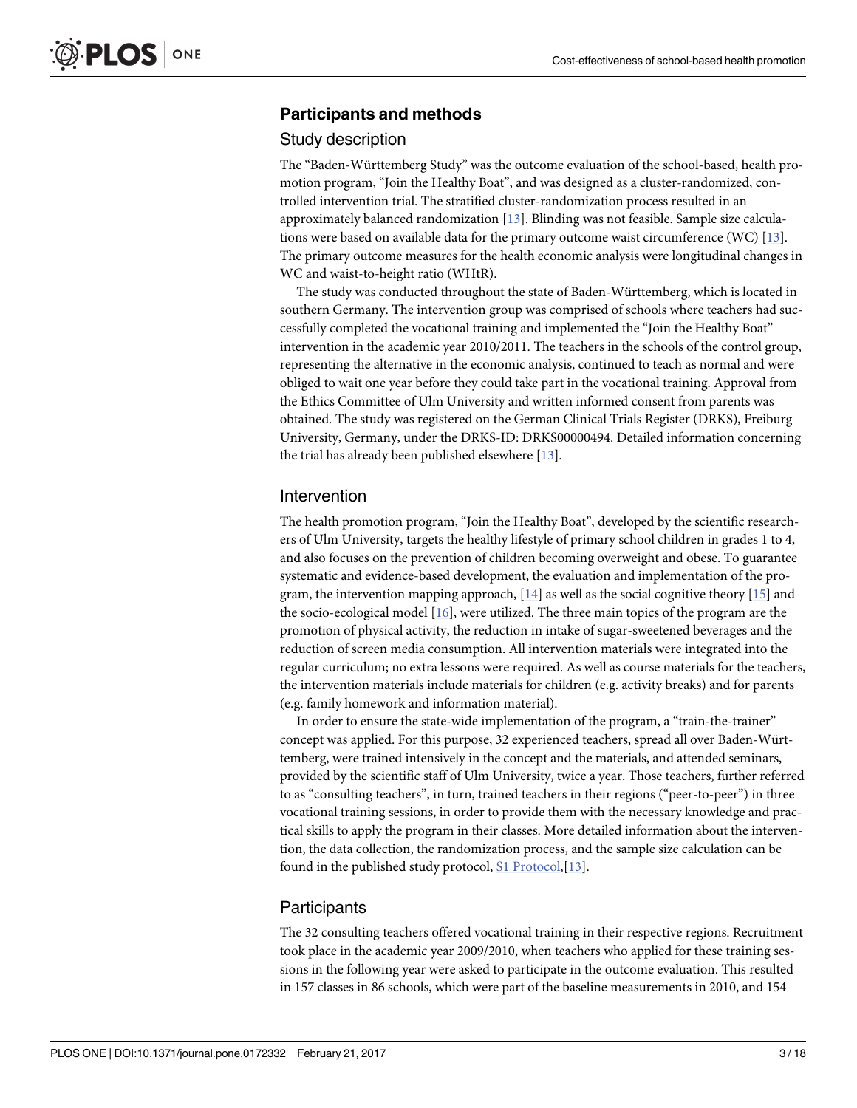#### <span id="page-2-0"></span>**Participants and methods**

#### Study description

The "Baden-Württemberg Study" was the outcome evaluation of the school-based, health promotion program, "Join the Healthy Boat", and was designed as a cluster-randomized, controlled intervention trial. The stratified cluster-randomization process resulted in an approximately balanced randomization [\[13\]](#page-15-0). Blinding was not feasible. Sample size calcula-tions were based on available data for the primary outcome waist circumference (WC) [[13](#page-15-0)]. The primary outcome measures for the health economic analysis were longitudinal changes in WC and waist-to-height ratio (WHtR).

The study was conducted throughout the state of Baden-Württemberg, which is located in southern Germany. The intervention group was comprised of schools where teachers had successfully completed the vocational training and implemented the "Join the Healthy Boat" intervention in the academic year 2010/2011. The teachers in the schools of the control group, representing the alternative in the economic analysis, continued to teach as normal and were obliged to wait one year before they could take part in the vocational training. Approval from the Ethics Committee of Ulm University and written informed consent from parents was obtained. The study was registered on the German Clinical Trials Register (DRKS), Freiburg University, Germany, under the DRKS-ID: DRKS00000494. Detailed information concerning the trial has already been published elsewhere [[13](#page-15-0)].

#### Intervention

The health promotion program, "Join the Healthy Boat", developed by the scientific researchers of Ulm University, targets the healthy lifestyle of primary school children in grades 1 to 4, and also focuses on the prevention of children becoming overweight and obese. To guarantee systematic and evidence-based development, the evaluation and implementation of the program, the intervention mapping approach,  $[14]$  $[14]$  $[14]$  as well as the social cognitive theory  $[15]$  $[15]$  $[15]$  and the socio-ecological model [\[16\]](#page-15-0), were utilized. The three main topics of the program are the promotion of physical activity, the reduction in intake of sugar-sweetened beverages and the reduction of screen media consumption. All intervention materials were integrated into the regular curriculum; no extra lessons were required. As well as course materials for the teachers, the intervention materials include materials for children (e.g. activity breaks) and for parents (e.g. family homework and information material).

In order to ensure the state-wide implementation of the program, a "train-the-trainer" concept was applied. For this purpose, 32 experienced teachers, spread all over Baden-Württemberg, were trained intensively in the concept and the materials, and attended seminars, provided by the scientific staff of Ulm University, twice a year. Those teachers, further referred to as "consulting teachers", in turn, trained teachers in their regions ("peer-to-peer") in three vocational training sessions, in order to provide them with the necessary knowledge and practical skills to apply the program in their classes. More detailed information about the intervention, the data collection, the randomization process, and the sample size calculation can be found in the published study protocol, S1 [Protocol,](#page-14-0) [\[13\]](#page-15-0).

#### Participants

The 32 consulting teachers offered vocational training in their respective regions. Recruitment took place in the academic year 2009/2010, when teachers who applied for these training sessions in the following year were asked to participate in the outcome evaluation. This resulted in 157 classes in 86 schools, which were part of the baseline measurements in 2010, and 154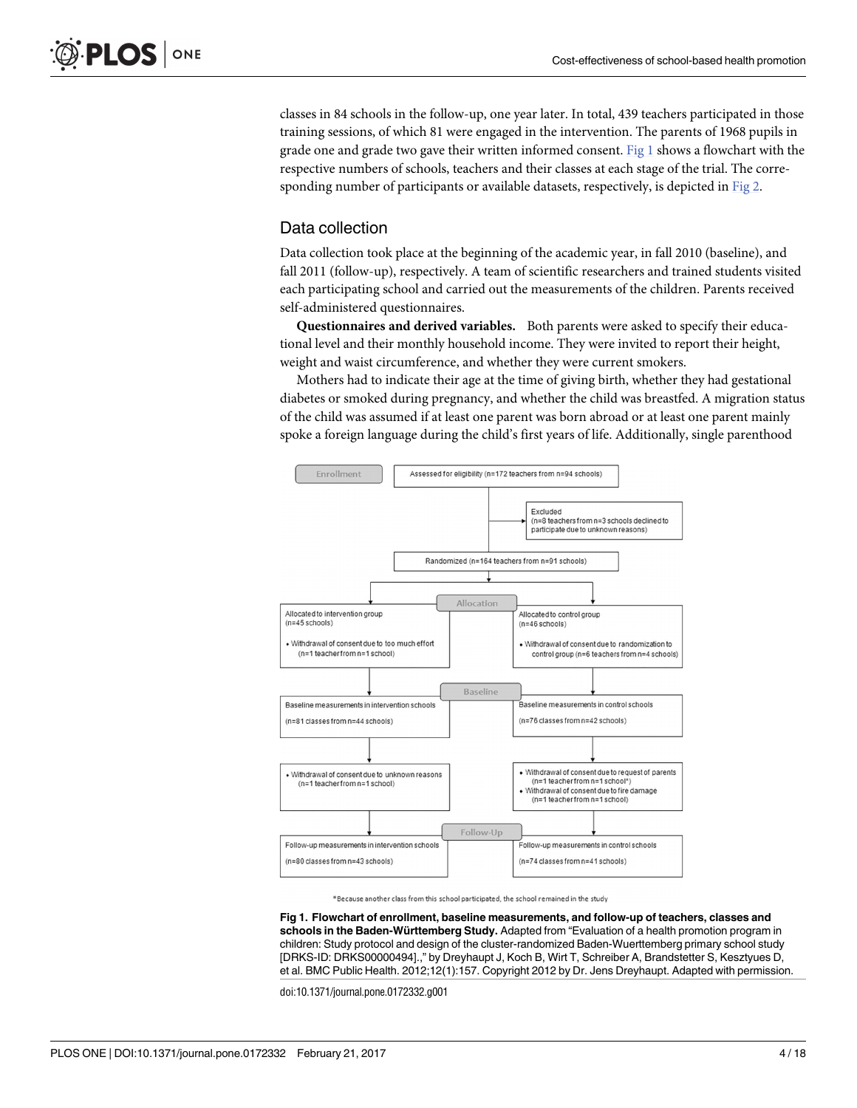<span id="page-3-0"></span>classes in 84 schools in the follow-up, one year later. In total, 439 teachers participated in those training sessions, of which 81 were engaged in the intervention. The parents of 1968 pupils in grade one and grade two gave their written informed consent. Fig  $1$  shows a flowchart with the respective numbers of schools, teachers and their classes at each stage of the trial. The corresponding number of participants or available datasets, respectively, is depicted in [Fig](#page-4-0) 2.

## Data collection

Data collection took place at the beginning of the academic year, in fall 2010 (baseline), and fall 2011 (follow-up), respectively. A team of scientific researchers and trained students visited each participating school and carried out the measurements of the children. Parents received self-administered questionnaires.

**Questionnaires and derived variables.** Both parents were asked to specify their educational level and their monthly household income. They were invited to report their height, weight and waist circumference, and whether they were current smokers.

Mothers had to indicate their age at the time of giving birth, whether they had gestational diabetes or smoked during pregnancy, and whether the child was breastfed. A migration status of the child was assumed if at least one parent was born abroad or at least one parent mainly spoke a foreign language during the child's first years of life. Additionally, single parenthood



\*Because another class from this school participated, the school remained in the study

**Fig 1. Flowchart of enrollment, baseline measurements, and follow-up of teachers, classes and schools in the Baden-Württemberg Study.** Adapted from "Evaluation of a health promotion program in children: Study protocol and design of the cluster-randomized Baden-Wuerttemberg primary school study [DRKS-ID: DRKS00000494].," by Dreyhaupt J, Koch B, Wirt T, Schreiber A, Brandstetter S, Kesztyues D, et al. BMC Public Health. 2012;12(1):157. Copyright 2012 by Dr. Jens Dreyhaupt. Adapted with permission.

doi:10.1371/journal.pone.0172332.g001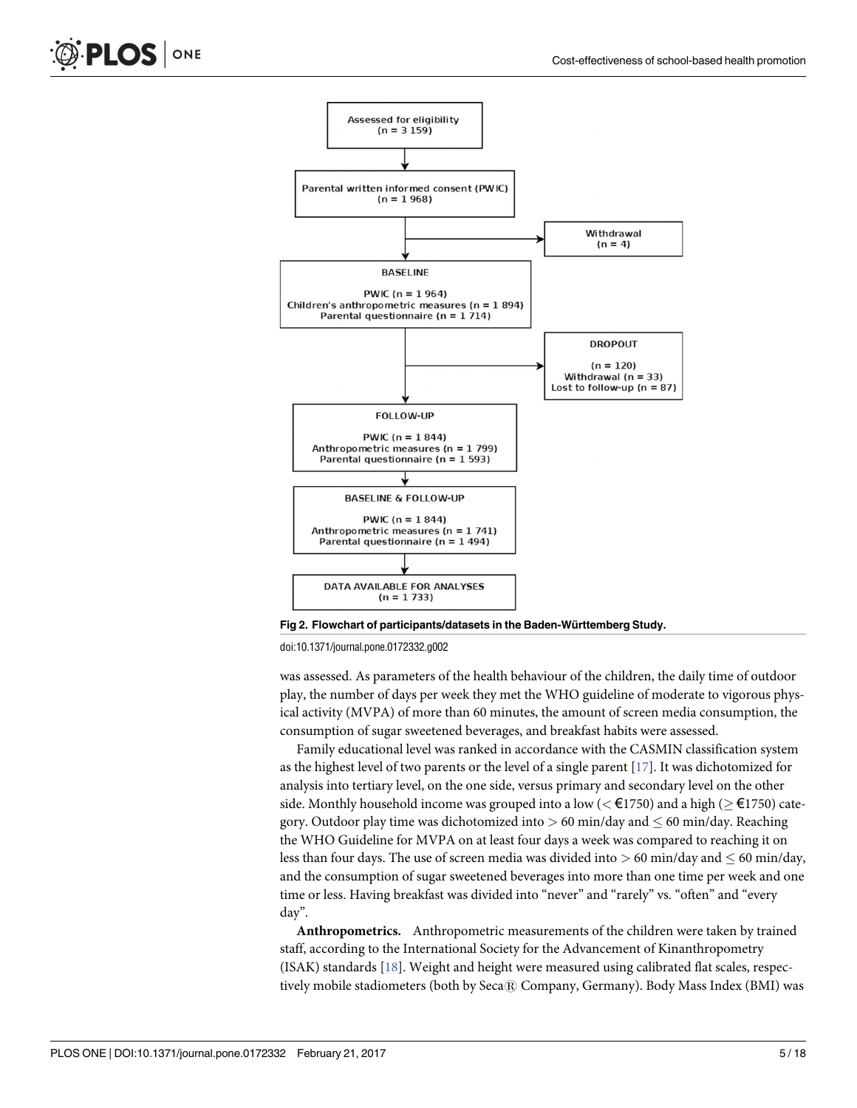<span id="page-4-0"></span>

**[Fig](#page-3-0) 2. Flowchart of participants/datasets in the Baden-Wu¨rttemberg Study.**

doi:10.1371/journal.pone.0172332.g002

was assessed. As parameters of the health behaviour of the children, the daily time of outdoor play, the number of days per week they met the WHO guideline of moderate to vigorous physical activity (MVPA) of more than 60 minutes, the amount of screen media consumption, the consumption of sugar sweetened beverages, and breakfast habits were assessed.

Family educational level was ranked in accordance with the CASMIN classification system as the highest level of two parents or the level of a single parent  $[17]$ . It was dichotomized for analysis into tertiary level, on the one side, versus primary and secondary level on the other side. Monthly household income was grouped into a low ( $\lt \text{\textsterling}1750$ ) and a high ( $\ge \text{\textsterling}1750$ ) category. Outdoor play time was dichotomized into  $> 60$  min/day and  $\leq 60$  min/day. Reaching the WHO Guideline for MVPA on at least four days a week was compared to reaching it on less than four days. The use of screen media was divided into  $> 60$  min/day and  $\leq 60$  min/day, and the consumption of sugar sweetened beverages into more than one time per week and one time or less. Having breakfast was divided into "never" and "rarely" vs. "often" and "every day".

**Anthropometrics.** Anthropometric measurements of the children were taken by trained staff, according to the International Society for the Advancement of Kinanthropometry (ISAK) standards [[18](#page-15-0)]. Weight and height were measured using calibrated flat scales, respectively mobile stadiometers (both by Seca® Company, Germany). Body Mass Index (BMI) was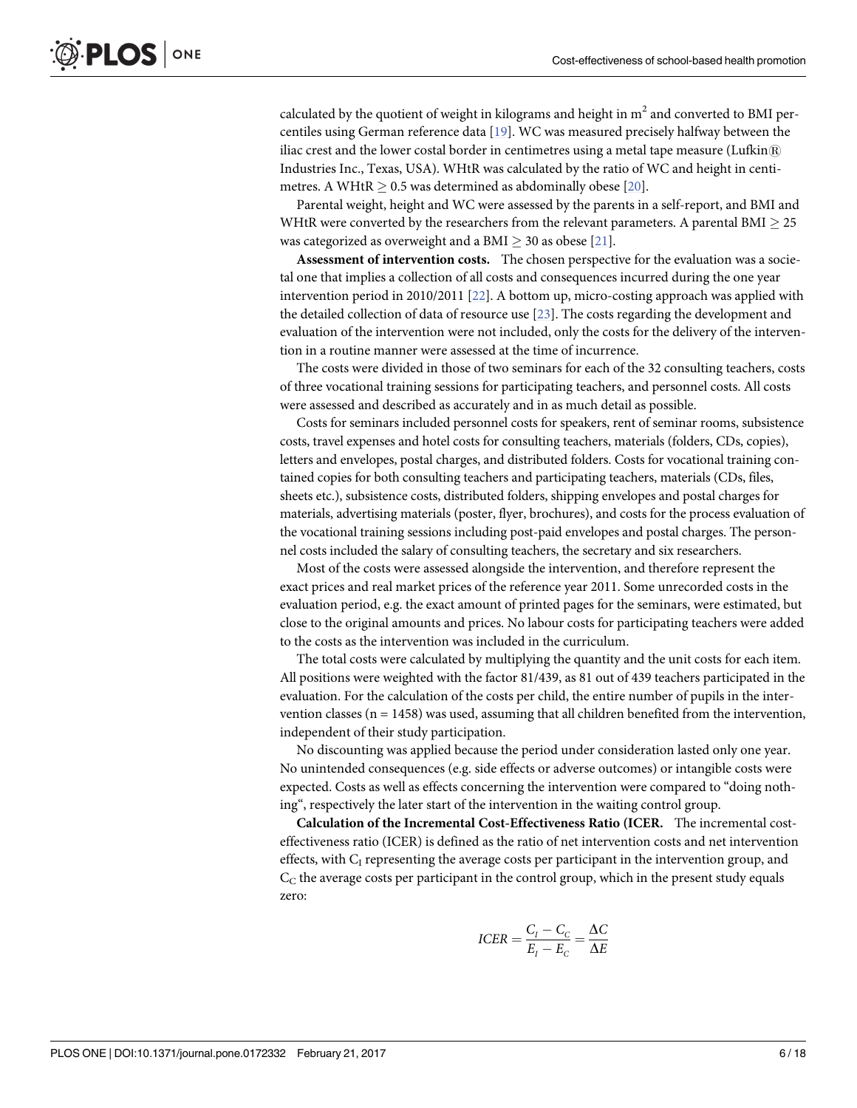<span id="page-5-0"></span>calculated by the quotient of weight in kilograms and height in  $m<sup>2</sup>$  and converted to BMI percentiles using German reference data [\[19\]](#page-15-0). WC was measured precisely halfway between the iliac crest and the lower costal border in centimetres using a metal tape measure (Lufkin $\mathbb R$ ) Industries Inc., Texas, USA). WHtR was calculated by the ratio of WC and height in centimetres. A WHtR  $> 0.5$  was determined as abdominally obese [[20](#page-15-0)].

Parental weight, height and WC were assessed by the parents in a self-report, and BMI and WHtR were converted by the researchers from the relevant parameters. A parental BMI  $\geq$  25 was categorized as overweight and a BMI  $\geq$  30 as obese [\[21\]](#page-15-0).

**Assessment of intervention costs.** The chosen perspective for the evaluation was a societal one that implies a collection of all costs and consequences incurred during the one year intervention period in 2010/2011 [\[22\]](#page-16-0). A bottom up, micro-costing approach was applied with the detailed collection of data of resource use [[23](#page-16-0)]. The costs regarding the development and evaluation of the intervention were not included, only the costs for the delivery of the intervention in a routine manner were assessed at the time of incurrence.

The costs were divided in those of two seminars for each of the 32 consulting teachers, costs of three vocational training sessions for participating teachers, and personnel costs. All costs were assessed and described as accurately and in as much detail as possible.

Costs for seminars included personnel costs for speakers, rent of seminar rooms, subsistence costs, travel expenses and hotel costs for consulting teachers, materials (folders, CDs, copies), letters and envelopes, postal charges, and distributed folders. Costs for vocational training contained copies for both consulting teachers and participating teachers, materials (CDs, files, sheets etc.), subsistence costs, distributed folders, shipping envelopes and postal charges for materials, advertising materials (poster, flyer, brochures), and costs for the process evaluation of the vocational training sessions including post-paid envelopes and postal charges. The personnel costs included the salary of consulting teachers, the secretary and six researchers.

Most of the costs were assessed alongside the intervention, and therefore represent the exact prices and real market prices of the reference year 2011. Some unrecorded costs in the evaluation period, e.g. the exact amount of printed pages for the seminars, were estimated, but close to the original amounts and prices. No labour costs for participating teachers were added to the costs as the intervention was included in the curriculum.

The total costs were calculated by multiplying the quantity and the unit costs for each item. All positions were weighted with the factor 81/439, as 81 out of 439 teachers participated in the evaluation. For the calculation of the costs per child, the entire number of pupils in the intervention classes ( $n = 1458$ ) was used, assuming that all children benefited from the intervention, independent of their study participation.

No discounting was applied because the period under consideration lasted only one year. No unintended consequences (e.g. side effects or adverse outcomes) or intangible costs were expected. Costs as well as effects concerning the intervention were compared to "doing nothing", respectively the later start of the intervention in the waiting control group.

**Calculation of the Incremental Cost-Effectiveness Ratio (ICER.** The incremental costeffectiveness ratio (ICER) is defined as the ratio of net intervention costs and net intervention effects, with  $C_I$  representing the average costs per participant in the intervention group, and  $C_{\rm C}$  the average costs per participant in the control group, which in the present study equals zero:

$$
ICER = \frac{C_I - C_C}{E_I - E_C} = \frac{\Delta C}{\Delta E}
$$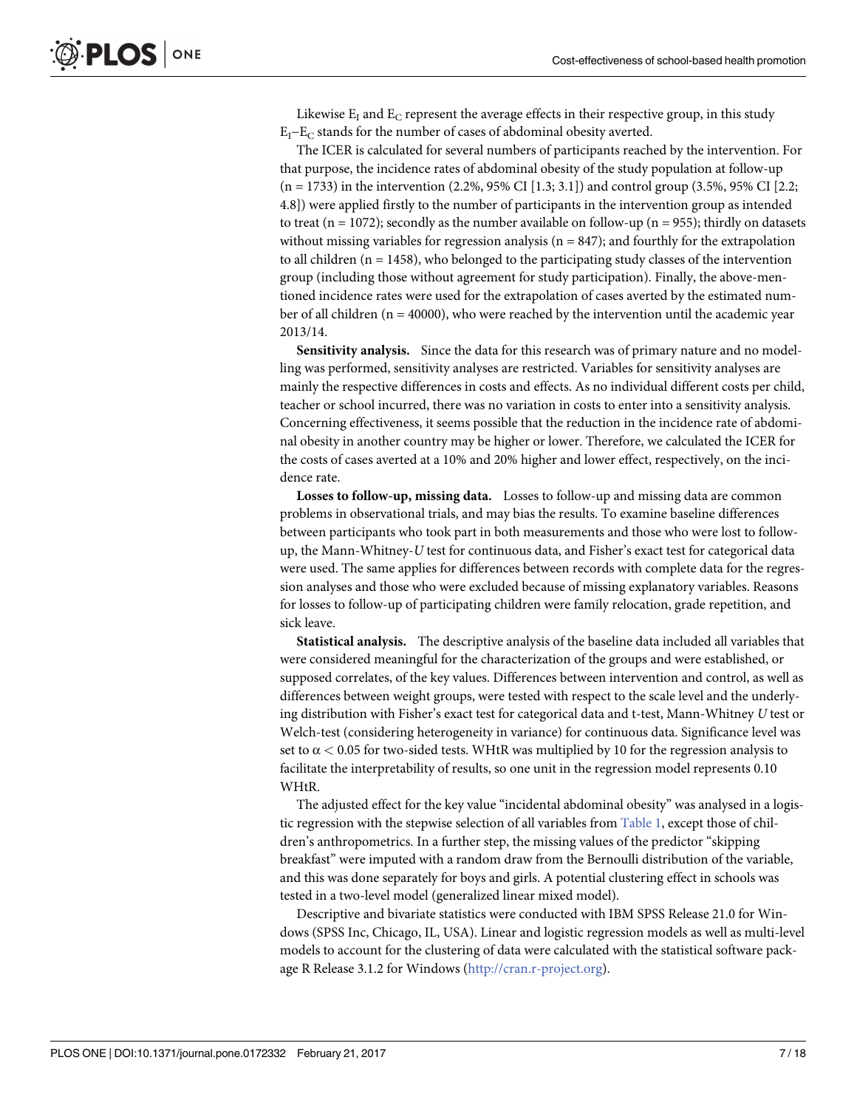<span id="page-6-0"></span>Likewise  $E_I$  and  $E_C$  represent the average effects in their respective group, in this study  $E_1-E_C$  stands for the number of cases of abdominal obesity averted.

The ICER is calculated for several numbers of participants reached by the intervention. For that purpose, the incidence rates of abdominal obesity of the study population at follow-up  $(n = 1733)$  in the intervention  $(2.2\%, 95\% \text{ CI} [1.3; 3.1])$  and control group  $(3.5\%, 95\% \text{ CI} [2.2;$ 4.8]) were applied firstly to the number of participants in the intervention group as intended to treat ( $n = 1072$ ); secondly as the number available on follow-up ( $n = 955$ ); thirdly on datasets without missing variables for regression analysis ( $n = 847$ ); and fourthly for the extrapolation to all children  $(n = 1458)$ , who belonged to the participating study classes of the intervention group (including those without agreement for study participation). Finally, the above-mentioned incidence rates were used for the extrapolation of cases averted by the estimated number of all children ( $n = 40000$ ), who were reached by the intervention until the academic year 2013/14.

**Sensitivity analysis.** Since the data for this research was of primary nature and no modelling was performed, sensitivity analyses are restricted. Variables for sensitivity analyses are mainly the respective differences in costs and effects. As no individual different costs per child, teacher or school incurred, there was no variation in costs to enter into a sensitivity analysis. Concerning effectiveness, it seems possible that the reduction in the incidence rate of abdominal obesity in another country may be higher or lower. Therefore, we calculated the ICER for the costs of cases averted at a 10% and 20% higher and lower effect, respectively, on the incidence rate.

**Losses to follow-up, missing data.** Losses to follow-up and missing data are common problems in observational trials, and may bias the results. To examine baseline differences between participants who took part in both measurements and those who were lost to followup, the Mann-Whitney-*U* test for continuous data, and Fisher's exact test for categorical data were used. The same applies for differences between records with complete data for the regression analyses and those who were excluded because of missing explanatory variables. Reasons for losses to follow-up of participating children were family relocation, grade repetition, and sick leave.

**Statistical analysis.** The descriptive analysis of the baseline data included all variables that were considered meaningful for the characterization of the groups and were established, or supposed correlates, of the key values. Differences between intervention and control, as well as differences between weight groups, were tested with respect to the scale level and the underlying distribution with Fisher's exact test for categorical data and t-test, Mann-Whitney *U* test or Welch-test (considering heterogeneity in variance) for continuous data. Significance level was set to  $\alpha$  < 0.05 for two-sided tests. WHtR was multiplied by 10 for the regression analysis to facilitate the interpretability of results, so one unit in the regression model represents 0.10 WHtR.

The adjusted effect for the key value "incidental abdominal obesity" was analysed in a logistic regression with the stepwise selection of all variables from [Table](#page-7-0) 1, except those of children's anthropometrics. In a further step, the missing values of the predictor "skipping breakfast" were imputed with a random draw from the Bernoulli distribution of the variable, and this was done separately for boys and girls. A potential clustering effect in schools was tested in a two-level model (generalized linear mixed model).

Descriptive and bivariate statistics were conducted with IBM SPSS Release 21.0 for Windows (SPSS Inc, Chicago, IL, USA). Linear and logistic regression models as well as multi-level models to account for the clustering of data were calculated with the statistical software package R Release 3.1.2 for Windows [\(http://cran.r-project.org\)](http://cran.r-project.org/).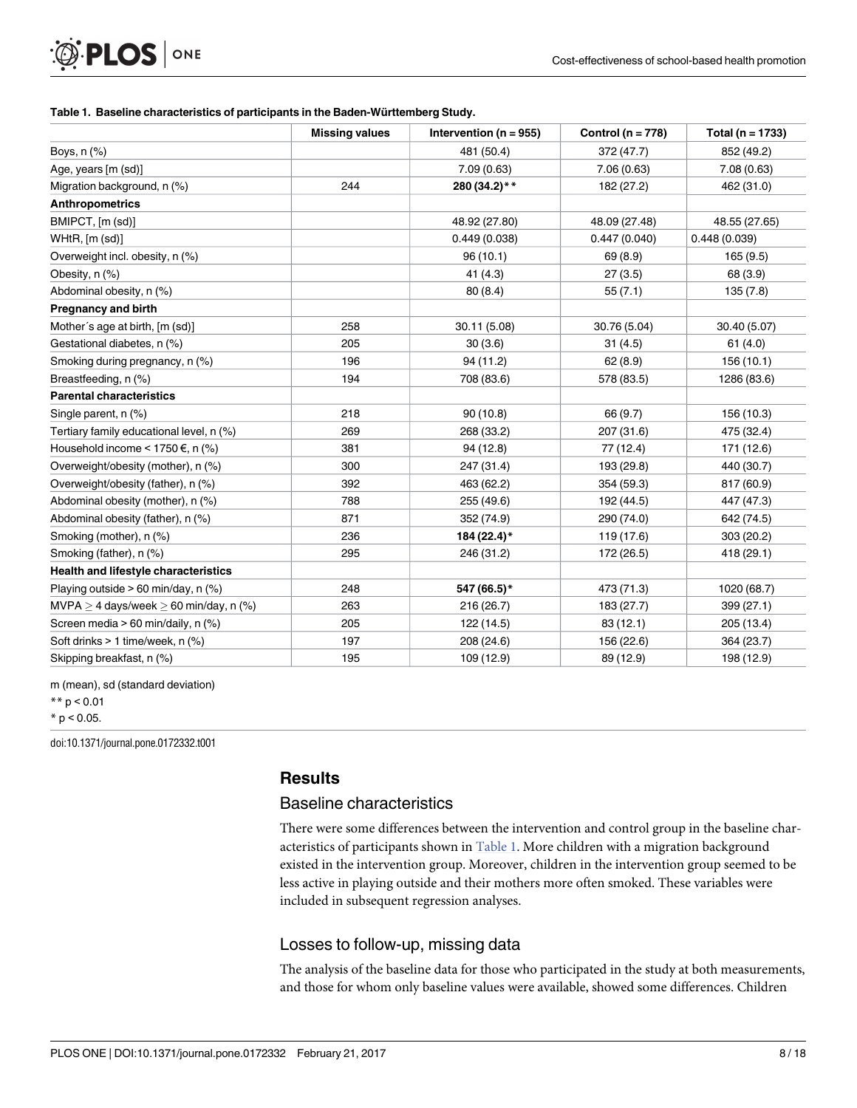#### **[Table](#page-6-0) 1. Baseline characteristics of participants in the Baden-Wu¨rttemberg Study.**

<span id="page-7-0"></span>**PLOS** ONE

|                                            | <b>Missing values</b> | Intervention ( $n = 955$ ) | Control ( $n = 778$ ) | Total ( $n = 1733$ ) |
|--------------------------------------------|-----------------------|----------------------------|-----------------------|----------------------|
| Boys, n (%)                                |                       | 481 (50.4)                 | 372 (47.7)            | 852 (49.2)           |
| Age, years [m (sd)]                        |                       | 7.09(0.63)                 | 7.06(0.63)            | 7.08(0.63)           |
| Migration background, n (%)                | 244                   | 280 (34.2)**               | 182 (27.2)            | 462 (31.0)           |
| <b>Anthropometrics</b>                     |                       |                            |                       |                      |
| BMIPCT, [m (sd)]                           |                       | 48.92 (27.80)              | 48.09 (27.48)         | 48.55 (27.65)        |
| WHtR, [m (sd)]                             |                       | 0.449(0.038)               | 0.447(0.040)          | 0.448(0.039)         |
| Overweight incl. obesity, n (%)            |                       | 96(10.1)                   | 69 (8.9)              | 165 (9.5)            |
| Obesity, n (%)                             |                       | 41(4.3)                    | 27(3.5)               | 68 (3.9)             |
| Abdominal obesity, n (%)                   |                       | 80(8.4)                    | 55(7.1)               | 135(7.8)             |
| <b>Pregnancy and birth</b>                 |                       |                            |                       |                      |
| Mother's age at birth, [m (sd)]            | 258                   | 30.11 (5.08)               | 30.76 (5.04)          | 30.40 (5.07)         |
| Gestational diabetes, n (%)                | 205                   | 30(3.6)                    | 31(4.5)               | 61(4.0)              |
| Smoking during pregnancy, n (%)            | 196                   | 94 (11.2)                  | 62(8.9)               | 156 (10.1)           |
| Breastfeeding, n (%)                       | 194                   | 708 (83.6)                 | 578 (83.5)            | 1286 (83.6)          |
| <b>Parental characteristics</b>            |                       |                            |                       |                      |
| Single parent, n (%)                       | 218                   | 90(10.8)                   | 66 (9.7)              | 156 (10.3)           |
| Tertiary family educational level, n (%)   | 269                   | 268 (33.2)                 | 207 (31.6)            | 475 (32.4)           |
| Household income < 1750 €, n (%)           | 381                   | 94 (12.8)                  | 77 (12.4)             | 171 (12.6)           |
| Overweight/obesity (mother), n (%)         | 300                   | 247 (31.4)                 | 193 (29.8)            | 440 (30.7)           |
| Overweight/obesity (father), n (%)         | 392                   | 463 (62.2)                 | 354 (59.3)            | 817 (60.9)           |
| Abdominal obesity (mother), n (%)          | 788                   | 255 (49.6)                 | 192 (44.5)            | 447 (47.3)           |
| Abdominal obesity (father), n (%)          | 871                   | 352 (74.9)                 | 290 (74.0)            | 642 (74.5)           |
| Smoking (mother), n (%)                    | 236                   | 184 (22.4)*                | 119 (17.6)            | 303(20.2)            |
| Smoking (father), n (%)                    | 295                   | 246 (31.2)                 | 172 (26.5)            | 418 (29.1)           |
| Health and lifestyle characteristics       |                       |                            |                       |                      |
| Playing outside $> 60$ min/day, n (%)      | 248                   | 547 (66.5)*                | 473 (71.3)            | 1020 (68.7)          |
| MVPA $>$ 4 days/week $>$ 60 min/day, n (%) | 263                   | 216(26.7)                  | 183 (27.7)            | 399(27.1)            |
| Screen media > 60 min/daily, n (%)         | 205                   | 122 (14.5)                 | 83(12.1)              | 205 (13.4)           |
| Soft drinks > 1 time/week, n (%)           | 197                   | 208 (24.6)                 | 156 (22.6)            | 364 (23.7)           |
| Skipping breakfast, n (%)                  | 195                   | 109 (12.9)                 | 89 (12.9)             | 198 (12.9)           |

m (mean), sd (standard deviation)

 $*$  p < 0.05.

doi:10.1371/journal.pone.0172332.t001

#### **Results**

#### Baseline characteristics

There were some differences between the intervention and control group in the baseline characteristics of participants shown in Table 1. More children with a migration background existed in the intervention group. Moreover, children in the intervention group seemed to be less active in playing outside and their mothers more often smoked. These variables were included in subsequent regression analyses.

#### Losses to follow-up, missing data

The analysis of the baseline data for those who participated in the study at both measurements, and those for whom only baseline values were available, showed some differences. Children

 $** p < 0.01$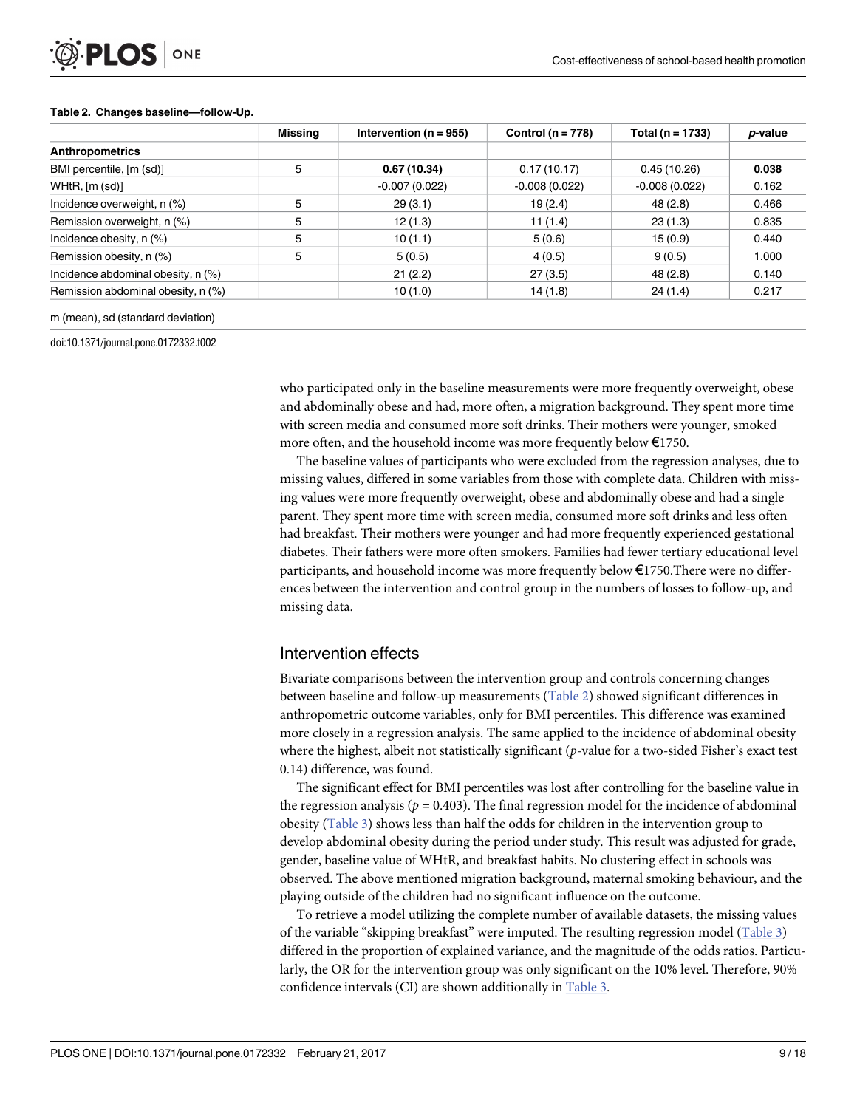<span id="page-8-0"></span>

#### **Table 2. Changes baseline—follow-Up.**

|                                    | Missing | Intervention ( $n = 955$ ) | Control ( $n = 778$ ) | Total ( $n = 1733$ ) | <i>p</i> -value |
|------------------------------------|---------|----------------------------|-----------------------|----------------------|-----------------|
| <b>Anthropometrics</b>             |         |                            |                       |                      |                 |
| BMI percentile, [m (sd)]           | 5       | 0.67(10.34)                | 0.17(10.17)           | 0.45(10.26)          | 0.038           |
| WHtR, [m (sd)]                     |         | $-0.007(0.022)$            | $-0.008(0.022)$       | $-0.008(0.022)$      | 0.162           |
| Incidence overweight, n (%)        | 5       | 29(3.1)                    | 19(2.4)               | 48 (2.8)             | 0.466           |
| Remission overweight, n (%)        | 5       | 12(1.3)                    | 11(1.4)               | 23(1.3)              | 0.835           |
| Incidence obesity, n (%)           | 5       | 10(1.1)                    | 5(0.6)                | 15(0.9)              | 0.440           |
| Remission obesity, n (%)           | 5       | 5(0.5)                     | 4(0.5)                | 9(0.5)               | 1.000           |
| Incidence abdominal obesity, n (%) |         | 21(2.2)                    | 27(3.5)               | 48(2.8)              | 0.140           |
| Remission abdominal obesity, n (%) |         | 10(1.0)                    | 14 (1.8)              | 24(1.4)              | 0.217           |

m (mean), sd (standard deviation)

doi:10.1371/journal.pone.0172332.t002

who participated only in the baseline measurements were more frequently overweight, obese and abdominally obese and had, more often, a migration background. They spent more time with screen media and consumed more soft drinks. Their mothers were younger, smoked more often, and the household income was more frequently below  $\epsilon$ 1750.

The baseline values of participants who were excluded from the regression analyses, due to missing values, differed in some variables from those with complete data. Children with missing values were more frequently overweight, obese and abdominally obese and had a single parent. They spent more time with screen media, consumed more soft drinks and less often had breakfast. Their mothers were younger and had more frequently experienced gestational diabetes. Their fathers were more often smokers. Families had fewer tertiary educational level participants, and household income was more frequently below €1750.There were no differences between the intervention and control group in the numbers of losses to follow-up, and missing data.

#### Intervention effects

Bivariate comparisons between the intervention group and controls concerning changes between baseline and follow-up measurements (Table 2) showed significant differences in anthropometric outcome variables, only for BMI percentiles. This difference was examined more closely in a regression analysis. The same applied to the incidence of abdominal obesity where the highest, albeit not statistically significant (*p*-value for a two-sided Fisher's exact test 0.14) difference, was found.

The significant effect for BMI percentiles was lost after controlling for the baseline value in the regression analysis ( $p = 0.403$ ). The final regression model for the incidence of abdominal obesity ([Table](#page-9-0) 3) shows less than half the odds for children in the intervention group to develop abdominal obesity during the period under study. This result was adjusted for grade, gender, baseline value of WHtR, and breakfast habits. No clustering effect in schools was observed. The above mentioned migration background, maternal smoking behaviour, and the playing outside of the children had no significant influence on the outcome.

To retrieve a model utilizing the complete number of available datasets, the missing values of the variable "skipping breakfast" were imputed. The resulting regression model ([Table](#page-9-0) 3) differed in the proportion of explained variance, and the magnitude of the odds ratios. Particularly, the OR for the intervention group was only significant on the 10% level. Therefore, 90% confidence intervals (CI) are shown additionally in [Table](#page-9-0) 3.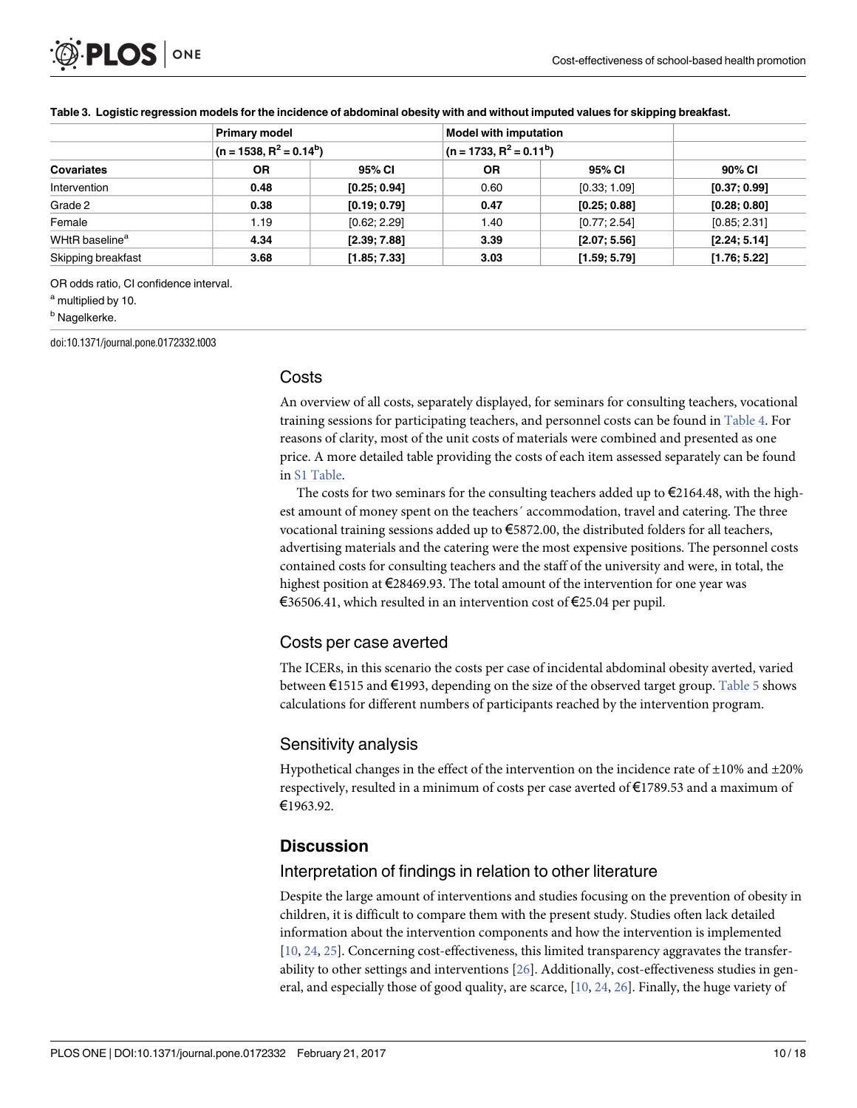<span id="page-9-0"></span>

|                            | <b>Primary model</b> | $(n = 1538, R2 = 0.14b)$ |      | <b>Model with imputation</b><br>$(n = 1733, R2 = 0.11b)$ |              |  |
|----------------------------|----------------------|--------------------------|------|----------------------------------------------------------|--------------|--|
|                            |                      |                          |      |                                                          |              |  |
| <b>Covariates</b>          | <b>OR</b>            | 95% CI                   | 0R   | 95% CI                                                   | 90% CI       |  |
| Intervention               | 0.48                 | [0.25; 0.94]             | 0.60 | [0.33; 1.09]                                             | [0.37; 0.99] |  |
| Grade 2                    | 0.38                 | [0.19; 0.79]             | 0.47 | [0.25; 0.88]                                             | [0.28; 0.80] |  |
| Female                     | 1.19                 | [0.62; 2.29]             | 1.40 | [0.77; 2.54]                                             | [0.85; 2.31] |  |
| WHtR baseline <sup>a</sup> | 4.34                 | [2.39; 7.88]             | 3.39 | [2.07; 5.56]                                             | [2.24; 5.14] |  |
| Skipping breakfast         | 3.68                 | [1.85; 7.33]             | 3.03 | [1.59; 5.79]                                             | [1.76; 5.22] |  |

#### [Table](#page-8-0) 3. Logistic regression models for the incidence of abdominal obesity with and without imputed values for skipping breakfast.

OR odds ratio, CI confidence interval.

a multiplied by 10.

**b** Nagelkerke.

doi:10.1371/journal.pone.0172332.t003

#### **Costs**

An overview of all costs, separately displayed, for seminars for consulting teachers, vocational training sessions for participating teachers, and personnel costs can be found in [Table](#page-10-0) 4. For reasons of clarity, most of the unit costs of materials were combined and presented as one price. A more detailed table providing the costs of each item assessed separately can be found in S1 [Table](#page-14-0).

The costs for two seminars for the consulting teachers added up to  $\epsilon$ 2164.48, with the highest amount of money spent on the teachers´ accommodation, travel and catering. The three vocational training sessions added up to €5872.00, the distributed folders for all teachers, advertising materials and the catering were the most expensive positions. The personnel costs contained costs for consulting teachers and the staff of the university and were, in total, the highest position at €28469.93. The total amount of the intervention for one year was €36506.41, which resulted in an intervention cost of €25.04 per pupil.

#### Costs per case averted

The ICERs, in this scenario the costs per case of incidental abdominal obesity averted, varied between €1515 and €1993, depending on the size of the observed target group. [Table](#page-11-0) 5 shows calculations for different numbers of participants reached by the intervention program.

#### Sensitivity analysis

Hypothetical changes in the effect of the intervention on the incidence rate of  $\pm 10\%$  and  $\pm 20\%$ respectively, resulted in a minimum of costs per case averted of €1789.53 and a maximum of €1963.92.

## **Discussion**

#### Interpretation of findings in relation to other literature

Despite the large amount of interventions and studies focusing on the prevention of obesity in children, it is difficult to compare them with the present study. Studies often lack detailed information about the intervention components and how the intervention is implemented [\[10,](#page-15-0) [24,](#page-16-0) [25\]](#page-16-0). Concerning cost-effectiveness, this limited transparency aggravates the transferability to other settings and interventions [\[26\]](#page-16-0). Additionally, cost-effectiveness studies in general, and especially those of good quality, are scarce, [[10](#page-15-0), [24](#page-16-0), [26](#page-16-0)]. Finally, the huge variety of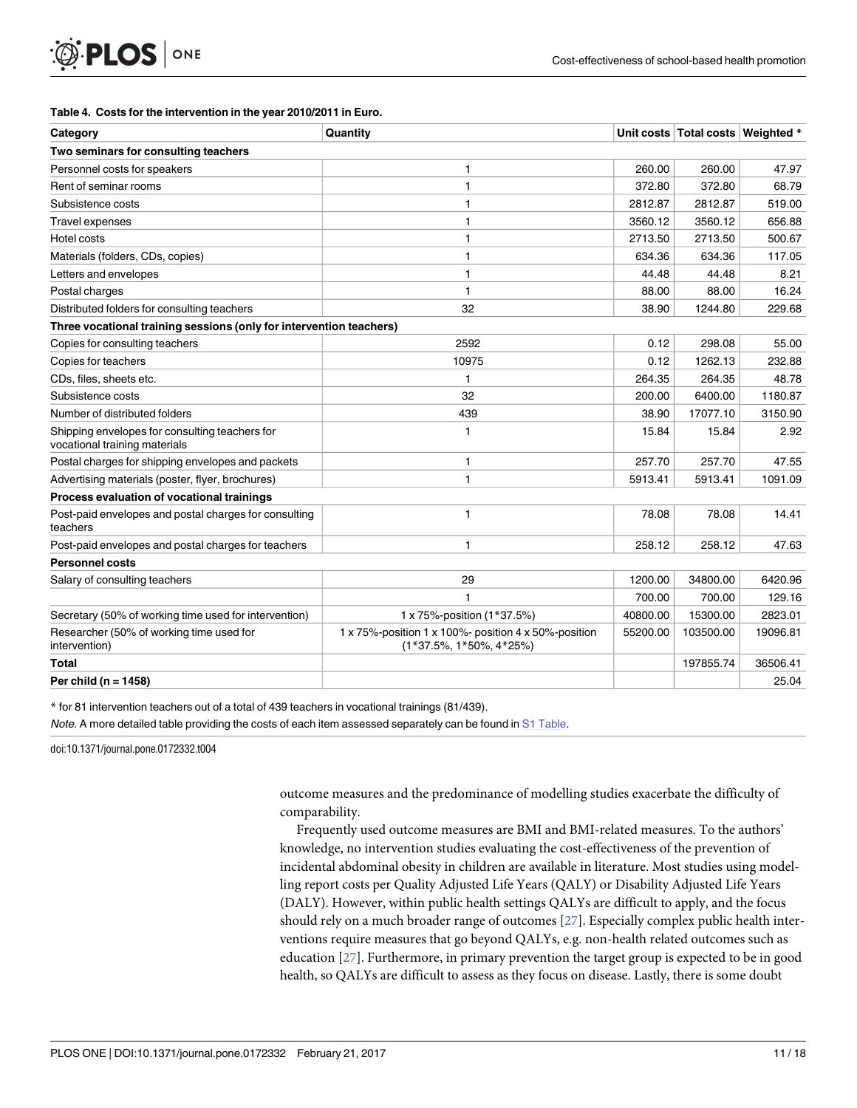#### **[Table](#page-9-0) 4. Costs for the intervention in the year 2010/2011 in Euro.**

<span id="page-10-0"></span>PLOS ONE

| Category                                                                        | Quantity                                                                             |          | Unit costs   Total costs   Weighted * |          |  |  |  |
|---------------------------------------------------------------------------------|--------------------------------------------------------------------------------------|----------|---------------------------------------|----------|--|--|--|
| Two seminars for consulting teachers                                            |                                                                                      |          |                                       |          |  |  |  |
| Personnel costs for speakers                                                    | 1                                                                                    | 260.00   | 260.00                                | 47.97    |  |  |  |
| Rent of seminar rooms                                                           | $\mathbf{1}$                                                                         | 372.80   | 372.80                                | 68.79    |  |  |  |
| Subsistence costs                                                               | 1                                                                                    | 2812.87  | 2812.87                               | 519.00   |  |  |  |
| <b>Travel expenses</b>                                                          | 1                                                                                    | 3560.12  | 3560.12                               | 656.88   |  |  |  |
| Hotel costs                                                                     | 1                                                                                    | 2713.50  | 2713.50                               | 500.67   |  |  |  |
| Materials (folders, CDs, copies)                                                | 1                                                                                    | 634.36   | 634.36                                | 117.05   |  |  |  |
| Letters and envelopes                                                           | 1                                                                                    | 44.48    | 44.48                                 | 8.21     |  |  |  |
| Postal charges                                                                  | 1                                                                                    | 88.00    | 88.00                                 | 16.24    |  |  |  |
| Distributed folders for consulting teachers                                     | 32                                                                                   | 38.90    | 1244.80                               | 229.68   |  |  |  |
| Three vocational training sessions (only for intervention teachers)             |                                                                                      |          |                                       |          |  |  |  |
| Copies for consulting teachers                                                  | 2592                                                                                 | 0.12     | 298.08                                | 55.00    |  |  |  |
| Copies for teachers                                                             | 10975                                                                                | 0.12     | 1262.13                               | 232.88   |  |  |  |
| CDs, files, sheets etc.                                                         | 1                                                                                    | 264.35   | 264.35                                | 48.78    |  |  |  |
| Subsistence costs                                                               | 32                                                                                   | 200.00   | 6400.00                               | 1180.87  |  |  |  |
| Number of distributed folders                                                   | 439                                                                                  | 38.90    | 17077.10                              | 3150.90  |  |  |  |
| Shipping envelopes for consulting teachers for<br>vocational training materials | 1                                                                                    | 15.84    | 15.84                                 | 2.92     |  |  |  |
| Postal charges for shipping envelopes and packets                               | 1                                                                                    | 257.70   | 257.70                                | 47.55    |  |  |  |
| Advertising materials (poster, flyer, brochures)                                | $\mathbf{1}$                                                                         | 5913.41  | 5913.41                               | 1091.09  |  |  |  |
| Process evaluation of vocational trainings                                      |                                                                                      |          |                                       |          |  |  |  |
| Post-paid envelopes and postal charges for consulting<br>teachers               | $\mathbf{1}$                                                                         | 78.08    | 78.08                                 | 14.41    |  |  |  |
| Post-paid envelopes and postal charges for teachers                             | 1                                                                                    | 258.12   | 258.12                                | 47.63    |  |  |  |
| <b>Personnel costs</b>                                                          |                                                                                      |          |                                       |          |  |  |  |
| Salary of consulting teachers                                                   | 29                                                                                   | 1200.00  | 34800.00                              | 6420.96  |  |  |  |
|                                                                                 | $\mathbf{1}$                                                                         | 700.00   | 700.00                                | 129.16   |  |  |  |
| Secretary (50% of working time used for intervention)                           | 1 x 75%-position (1*37.5%)                                                           | 40800.00 | 15300.00                              | 2823.01  |  |  |  |
| Researcher (50% of working time used for<br>intervention)                       | 1 x 75%-position 1 x 100%- position 4 x 50%-position<br>$(1*37.5\%, 1*50\%, 4*25\%)$ | 55200.00 | 103500.00                             | 19096.81 |  |  |  |
| Total                                                                           |                                                                                      |          | 197855.74                             | 36506.41 |  |  |  |
| Per child ( $n = 1458$ )                                                        |                                                                                      |          |                                       | 25.04    |  |  |  |

\* for 81 intervention teachers out of a total of 439 teachers in vocational trainings (81/439).

Note. A more detailed table providing the costs of each item assessed separately can be found in S1 [Table.](#page-14-0)

doi:10.1371/journal.pone.0172332.t004

outcome measures and the predominance of modelling studies exacerbate the difficulty of comparability.

Frequently used outcome measures are BMI and BMI-related measures. To the authors' knowledge, no intervention studies evaluating the cost-effectiveness of the prevention of incidental abdominal obesity in children are available in literature. Most studies using modelling report costs per Quality Adjusted Life Years (QALY) or Disability Adjusted Life Years (DALY). However, within public health settings QALYs are difficult to apply, and the focus should rely on a much broader range of outcomes [\[27\]](#page-16-0). Especially complex public health interventions require measures that go beyond QALYs, e.g. non-health related outcomes such as education [\[27\]](#page-16-0). Furthermore, in primary prevention the target group is expected to be in good health, so QALYs are difficult to assess as they focus on disease. Lastly, there is some doubt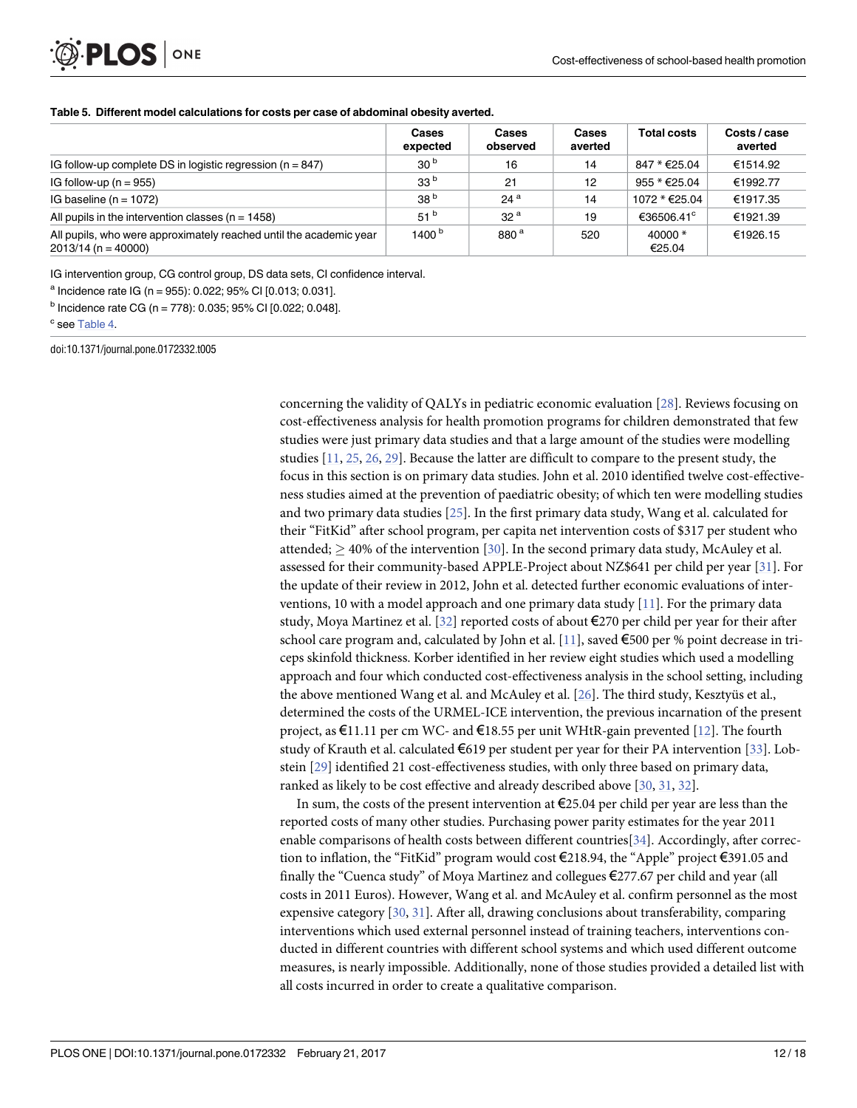# <span id="page-11-0"></span>PLOS ONE

|                                                                                             | <b>Cases</b><br>expected | Cases<br>observed | Cases<br>averted | <b>Total costs</b>     | Costs / case<br>averted |
|---------------------------------------------------------------------------------------------|--------------------------|-------------------|------------------|------------------------|-------------------------|
| IG follow-up complete DS in logistic regression ( $n = 847$ )                               | 30 <sup>b</sup>          | 16                | 14               | 847 * €25.04           | €1514.92                |
| IG follow-up ( $n = 955$ )                                                                  | 33 <sup>b</sup>          | 21                | 12               | 955 * €25.04           | €1992.77                |
| IG baseline ( $n = 1072$ )                                                                  | 38 <sup>b</sup>          | 24 <sup>a</sup>   | 14               | 1072 * €25.04          | €1917.35                |
| All pupils in the intervention classes ( $n = 1458$ )                                       | 51 <sup>b</sup>          | 32 <sup>a</sup>   | 19               | €36506.41 <sup>c</sup> | €1921.39                |
| All pupils, who were approximately reached until the academic year<br>$2013/14$ (n = 40000) | 1400 $b$                 | 880 <sup>a</sup>  | 520              | $40000 *$<br>€25.04    | €1926.15                |

IG intervention group, CG control group, DS data sets, CI confidence interval.

 $a$  Incidence rate IG (n = 955): 0.022; 95% CI [0.013; 0.031].

 $<sup>b</sup>$  Incidence rate CG (n = 778): 0.035; 95% CI [0.022; 0.048].</sup>

<sup>c</sup> see [Table](#page-10-0) 4.

doi:10.1371/journal.pone.0172332.t005

concerning the validity of QALYs in pediatric economic evaluation [\[28\]](#page-16-0). Reviews focusing on cost-effectiveness analysis for health promotion programs for children demonstrated that few studies were just primary data studies and that a large amount of the studies were modelling studies [\[11,](#page-15-0) [25,](#page-16-0) [26,](#page-16-0) [29\]](#page-16-0). Because the latter are difficult to compare to the present study, the focus in this section is on primary data studies. John et al. 2010 identified twelve cost-effectiveness studies aimed at the prevention of paediatric obesity; of which ten were modelling studies and two primary data studies [\[25\]](#page-16-0). In the first primary data study, Wang et al. calculated for their "FitKid" after school program, per capita net intervention costs of \$317 per student who attended;  $>$  40% of the intervention [\[30\]](#page-16-0). In the second primary data study, McAuley et al. assessed for their community-based APPLE-Project about NZ\$641 per child per year [\[31\]](#page-16-0). For the update of their review in 2012, John et al. detected further economic evaluations of interventions, 10 with a model approach and one primary data study [\[11\]](#page-15-0). For the primary data study, Moya Martinez et al. [\[32](#page-16-0)] reported costs of about €270 per child per year for their after school care program and, calculated by John et al. [[11](#page-15-0)], saved  $\epsilon$ 500 per % point decrease in triceps skinfold thickness. Korber identified in her review eight studies which used a modelling approach and four which conducted cost-effectiveness analysis in the school setting, including the above mentioned Wang et al. and McAuley et al. [\[26\]](#page-16-0). The third study, Kesztyüs et al., determined the costs of the URMEL-ICE intervention, the previous incarnation of the present project, as  $\epsilon$ 11.11 per cm WC- and  $\epsilon$ 18.55 per unit WHtR-gain prevented [[12](#page-15-0)]. The fourth study of Krauth et al. calculated  $\epsilon$ 619 per student per year for their PA intervention [[33](#page-16-0)]. Lobstein [[29](#page-16-0)] identified 21 cost-effectiveness studies, with only three based on primary data, ranked as likely to be cost effective and already described above [[30](#page-16-0), [31](#page-16-0), [32](#page-16-0)].

In sum, the costs of the present intervention at €25.04 per child per year are less than the reported costs of many other studies. Purchasing power parity estimates for the year 2011 enable comparisons of health costs between different countries[[34\]](#page-16-0). Accordingly, after correction to inflation, the "FitKid" program would cost €218.94, the "Apple" project €391.05 and finally the "Cuenca study" of Moya Martinez and collegues €277.67 per child and year (all costs in 2011 Euros). However, Wang et al. and McAuley et al. confirm personnel as the most expensive category [\[30,](#page-16-0) [31\]](#page-16-0). After all, drawing conclusions about transferability, comparing interventions which used external personnel instead of training teachers, interventions conducted in different countries with different school systems and which used different outcome measures, is nearly impossible. Additionally, none of those studies provided a detailed list with all costs incurred in order to create a qualitative comparison.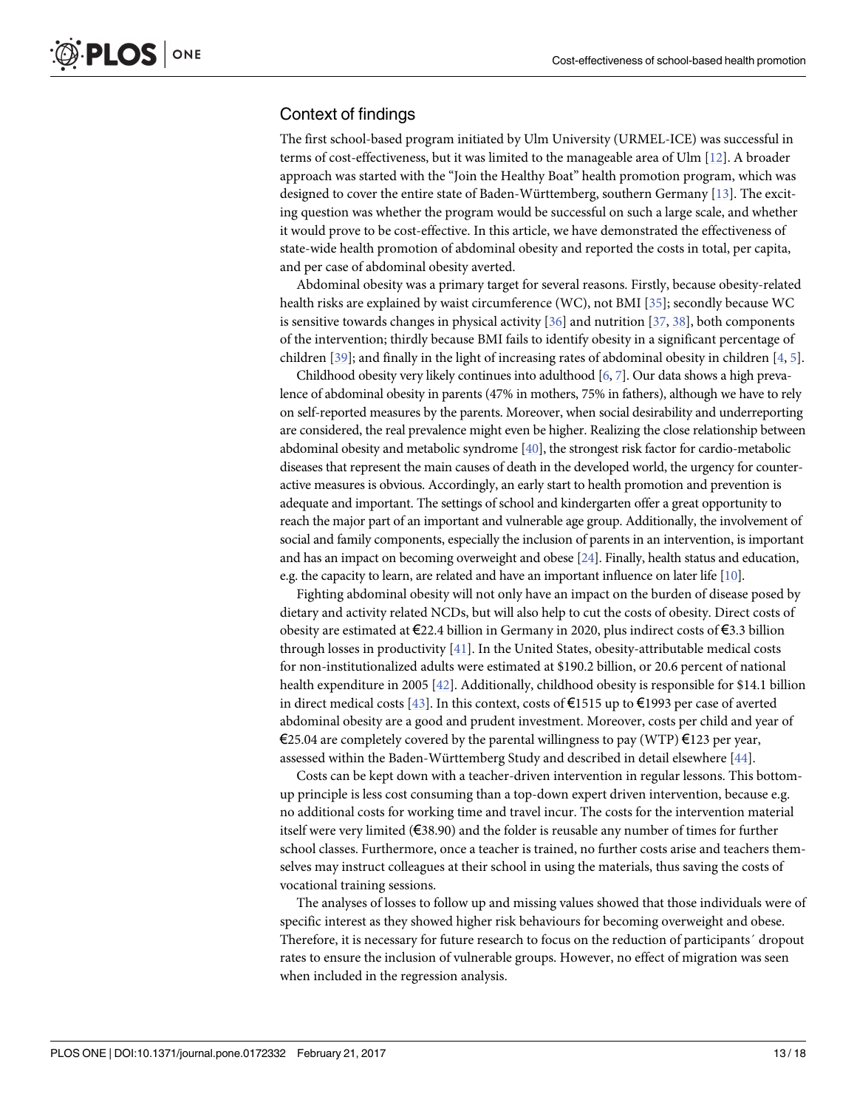#### <span id="page-12-0"></span>Context of findings

The first school-based program initiated by Ulm University (URMEL-ICE) was successful in terms of cost-effectiveness, but it was limited to the manageable area of Ulm [[12](#page-15-0)]. A broader approach was started with the "Join the Healthy Boat" health promotion program, which was designed to cover the entire state of Baden-Württemberg, southern Germany [[13](#page-15-0)]. The exciting question was whether the program would be successful on such a large scale, and whether it would prove to be cost-effective. In this article, we have demonstrated the effectiveness of state-wide health promotion of abdominal obesity and reported the costs in total, per capita, and per case of abdominal obesity averted.

Abdominal obesity was a primary target for several reasons. Firstly, because obesity-related health risks are explained by waist circumference (WC), not BMI [[35](#page-16-0)]; secondly because WC is sensitive towards changes in physical activity  $[36]$  and nutrition  $[37, 38]$  $[37, 38]$  $[37, 38]$  $[37, 38]$  $[37, 38]$ , both components of the intervention; thirdly because BMI fails to identify obesity in a significant percentage of children [[39](#page-16-0)]; and finally in the light of increasing rates of abdominal obesity in children [\[4](#page-15-0), [5](#page-15-0)].

Childhood obesity very likely continues into adulthood  $[6, 7]$  $[6, 7]$  $[6, 7]$  $[6, 7]$  $[6, 7]$ . Our data shows a high prevalence of abdominal obesity in parents (47% in mothers, 75% in fathers), although we have to rely on self-reported measures by the parents. Moreover, when social desirability and underreporting are considered, the real prevalence might even be higher. Realizing the close relationship between abdominal obesity and metabolic syndrome [[40\]](#page-16-0), the strongest risk factor for cardio-metabolic diseases that represent the main causes of death in the developed world, the urgency for counteractive measures is obvious. Accordingly, an early start to health promotion and prevention is adequate and important. The settings of school and kindergarten offer a great opportunity to reach the major part of an important and vulnerable age group. Additionally, the involvement of social and family components, especially the inclusion of parents in an intervention, is important and has an impact on becoming overweight and obese [[24\]](#page-16-0). Finally, health status and education, e.g. the capacity to learn, are related and have an important influence on later life [[10\]](#page-15-0).

Fighting abdominal obesity will not only have an impact on the burden of disease posed by dietary and activity related NCDs, but will also help to cut the costs of obesity. Direct costs of obesity are estimated at  $\epsilon$ 22.4 billion in Germany in 2020, plus indirect costs of  $\epsilon$ 3.3 billion through losses in productivity [\[41\]](#page-16-0). In the United States, obesity-attributable medical costs for non-institutionalized adults were estimated at \$190.2 billion, or 20.6 percent of national health expenditure in 2005 [[42](#page-17-0)]. Additionally, childhood obesity is responsible for \$14.1 billion in direct medical costs [\[43\]](#page-17-0). In this context, costs of €1515 up to €1993 per case of averted abdominal obesity are a good and prudent investment. Moreover, costs per child and year of €25.04 are completely covered by the parental willingness to pay (WTP) €123 per year, assessed within the Baden-Württemberg Study and described in detail elsewhere  $[44]$  $[44]$ .

Costs can be kept down with a teacher-driven intervention in regular lessons. This bottomup principle is less cost consuming than a top-down expert driven intervention, because e.g. no additional costs for working time and travel incur. The costs for the intervention material itself were very limited (€38.90) and the folder is reusable any number of times for further school classes. Furthermore, once a teacher is trained, no further costs arise and teachers themselves may instruct colleagues at their school in using the materials, thus saving the costs of vocational training sessions.

The analyses of losses to follow up and missing values showed that those individuals were of specific interest as they showed higher risk behaviours for becoming overweight and obese. Therefore, it is necessary for future research to focus on the reduction of participants´ dropout rates to ensure the inclusion of vulnerable groups. However, no effect of migration was seen when included in the regression analysis.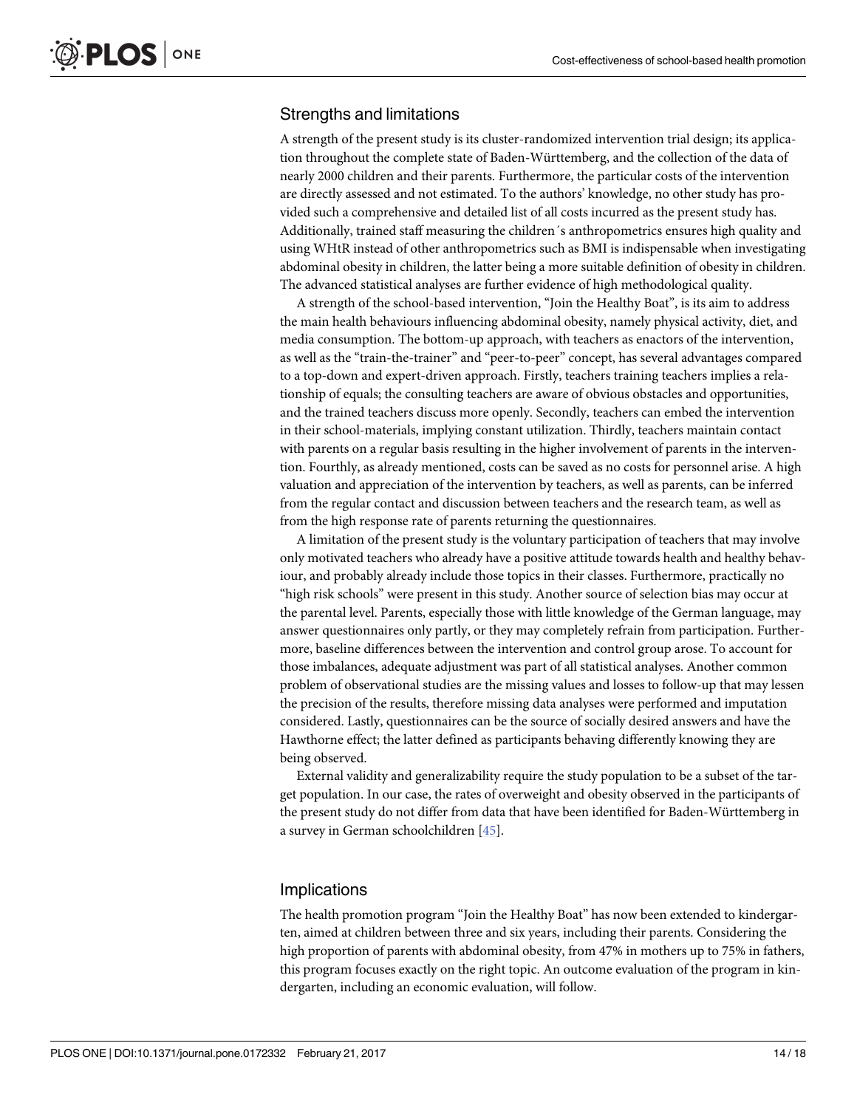#### <span id="page-13-0"></span>Strengths and limitations

A strength of the present study is its cluster-randomized intervention trial design; its application throughout the complete state of Baden-Wu¨rttemberg, and the collection of the data of nearly 2000 children and their parents. Furthermore, the particular costs of the intervention are directly assessed and not estimated. To the authors' knowledge, no other study has provided such a comprehensive and detailed list of all costs incurred as the present study has. Additionally, trained staff measuring the children´s anthropometrics ensures high quality and using WHtR instead of other anthropometrics such as BMI is indispensable when investigating abdominal obesity in children, the latter being a more suitable definition of obesity in children. The advanced statistical analyses are further evidence of high methodological quality.

A strength of the school-based intervention, "Join the Healthy Boat", is its aim to address the main health behaviours influencing abdominal obesity, namely physical activity, diet, and media consumption. The bottom-up approach, with teachers as enactors of the intervention, as well as the "train-the-trainer" and "peer-to-peer" concept, has several advantages compared to a top-down and expert-driven approach. Firstly, teachers training teachers implies a relationship of equals; the consulting teachers are aware of obvious obstacles and opportunities, and the trained teachers discuss more openly. Secondly, teachers can embed the intervention in their school-materials, implying constant utilization. Thirdly, teachers maintain contact with parents on a regular basis resulting in the higher involvement of parents in the intervention. Fourthly, as already mentioned, costs can be saved as no costs for personnel arise. A high valuation and appreciation of the intervention by teachers, as well as parents, can be inferred from the regular contact and discussion between teachers and the research team, as well as from the high response rate of parents returning the questionnaires.

A limitation of the present study is the voluntary participation of teachers that may involve only motivated teachers who already have a positive attitude towards health and healthy behaviour, and probably already include those topics in their classes. Furthermore, practically no "high risk schools" were present in this study. Another source of selection bias may occur at the parental level. Parents, especially those with little knowledge of the German language, may answer questionnaires only partly, or they may completely refrain from participation. Furthermore, baseline differences between the intervention and control group arose. To account for those imbalances, adequate adjustment was part of all statistical analyses. Another common problem of observational studies are the missing values and losses to follow-up that may lessen the precision of the results, therefore missing data analyses were performed and imputation considered. Lastly, questionnaires can be the source of socially desired answers and have the Hawthorne effect; the latter defined as participants behaving differently knowing they are being observed.

External validity and generalizability require the study population to be a subset of the target population. In our case, the rates of overweight and obesity observed in the participants of the present study do not differ from data that have been identified for Baden-Württemberg in a survey in German schoolchildren [\[45\]](#page-17-0).

#### **Implications**

The health promotion program "Join the Healthy Boat" has now been extended to kindergarten, aimed at children between three and six years, including their parents. Considering the high proportion of parents with abdominal obesity, from 47% in mothers up to 75% in fathers, this program focuses exactly on the right topic. An outcome evaluation of the program in kindergarten, including an economic evaluation, will follow.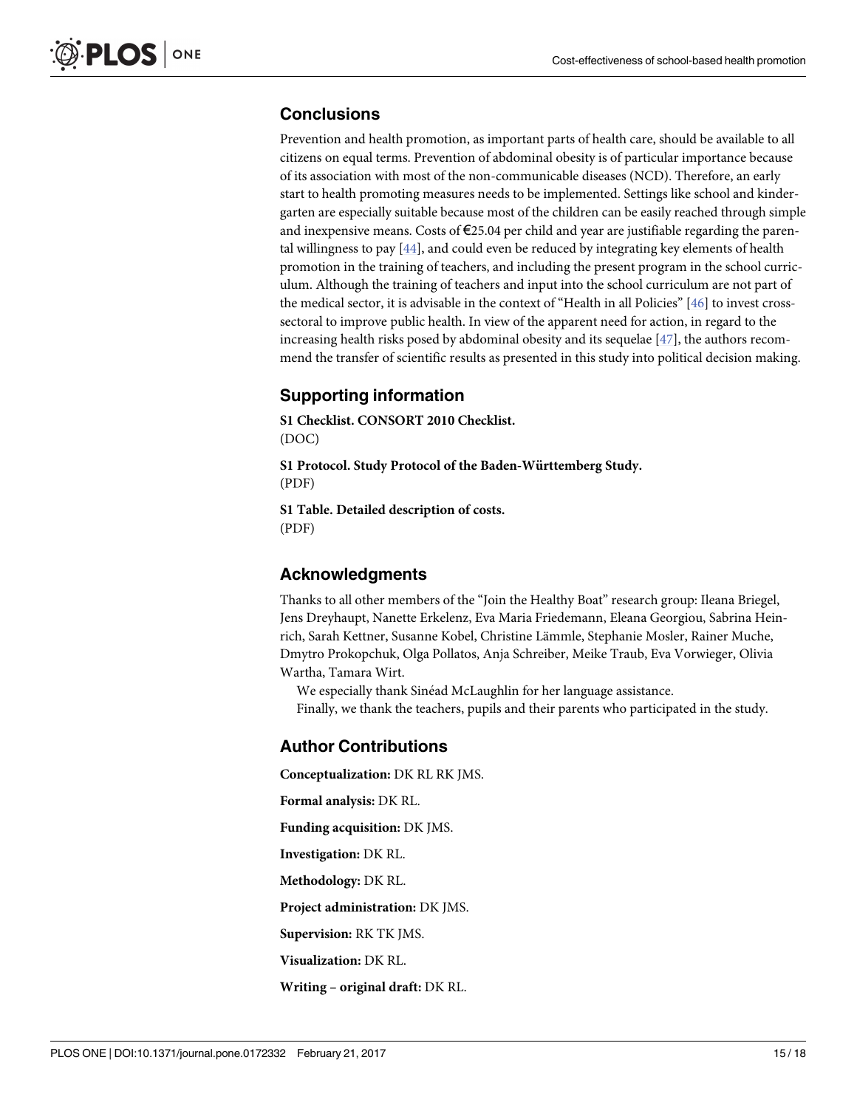## <span id="page-14-0"></span>**Conclusions**

Prevention and health promotion, as important parts of health care, should be available to all citizens on equal terms. Prevention of abdominal obesity is of particular importance because of its association with most of the non-communicable diseases (NCD). Therefore, an early start to health promoting measures needs to be implemented. Settings like school and kindergarten are especially suitable because most of the children can be easily reached through simple and inexpensive means. Costs of €25.04 per child and year are justifiable regarding the parental willingness to pay [\[44\]](#page-17-0), and could even be reduced by integrating key elements of health promotion in the training of teachers, and including the present program in the school curriculum. Although the training of teachers and input into the school curriculum are not part of the medical sector, it is advisable in the context of "Health in all Policies" [[46](#page-17-0)] to invest crosssectoral to improve public health. In view of the apparent need for action, in regard to the increasing health risks posed by abdominal obesity and its sequelae [[47](#page-17-0)], the authors recommend the transfer of scientific results as presented in this study into political decision making.

# **Supporting information**

**S1 [Checklist.](http://www.plosone.org/article/fetchSingleRepresentation.action?uri=info:doi/10.1371/journal.pone.0172332.s001) CONSORT 2010 Checklist.** (DOC)

**S1 [Protocol](http://www.plosone.org/article/fetchSingleRepresentation.action?uri=info:doi/10.1371/journal.pone.0172332.s002). Study Protocol of the Baden-Wu¨rttemberg Study.** (PDF)

**S1 [Table.](http://www.plosone.org/article/fetchSingleRepresentation.action?uri=info:doi/10.1371/journal.pone.0172332.s003) Detailed description of costs.** (PDF)

#### **Acknowledgments**

Thanks to all other members of the "Join the Healthy Boat" research group: Ileana Briegel, Jens Dreyhaupt, Nanette Erkelenz, Eva Maria Friedemann, Eleana Georgiou, Sabrina Heinrich, Sarah Kettner, Susanne Kobel, Christine Lämmle, Stephanie Mosler, Rainer Muche, Dmytro Prokopchuk, Olga Pollatos, Anja Schreiber, Meike Traub, Eva Vorwieger, Olivia Wartha, Tamara Wirt.

We especially thank Sinéad McLaughlin for her language assistance. Finally, we thank the teachers, pupils and their parents who participated in the study.

## **Author Contributions**

**Conceptualization:** DK RL RK JMS. **Formal analysis:** DK RL. **Funding acquisition:** DK JMS. **Investigation:** DK RL. **Methodology:** DK RL. **Project administration:** DK JMS. **Supervision:** RK TK JMS. **Visualization:** DK RL. **Writing – original draft:** DK RL.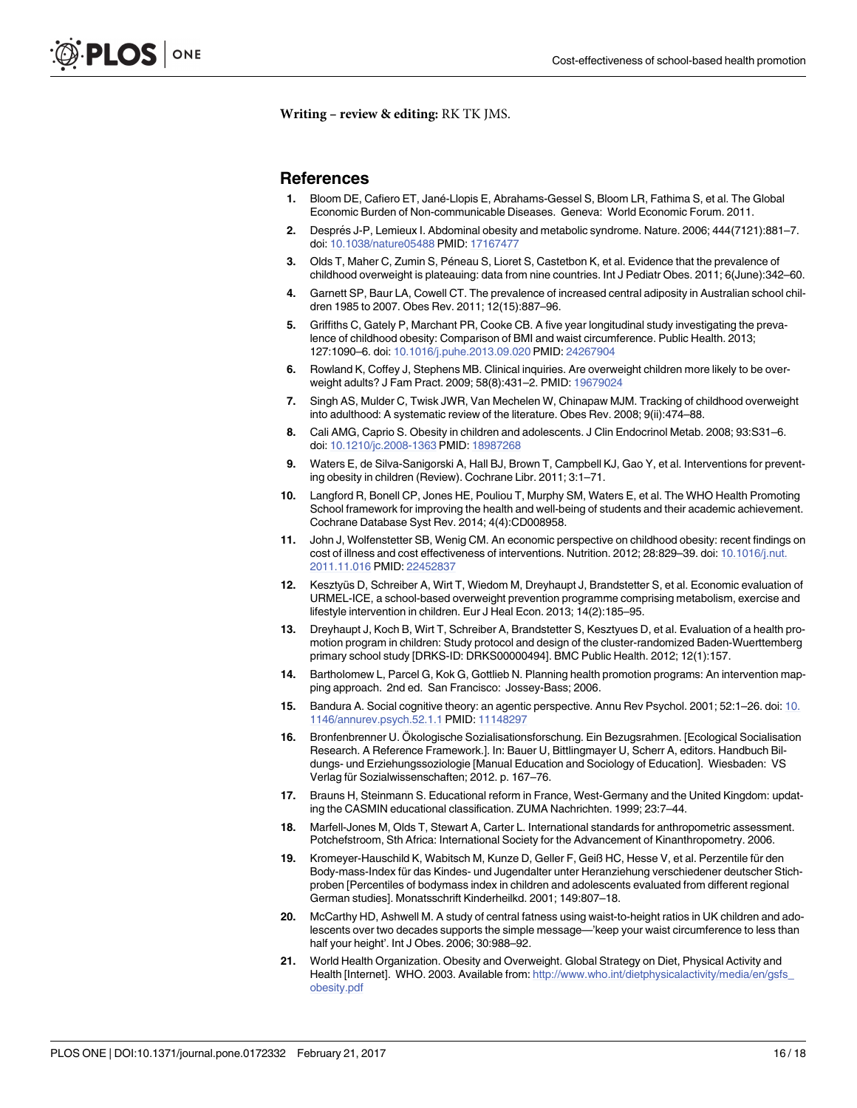<span id="page-15-0"></span>**Writing – review & editing:** RK TK JMS.

#### **References**

- **[1](#page-1-0).** Bloom DE, Cafiero ET, Jane´-Llopis E, Abrahams-Gessel S, Bloom LR, Fathima S, et al. The Global Economic Burden of Non-communicable Diseases. Geneva: World Economic Forum. 2011.
- **[2](#page-1-0).** Després J-P, Lemieux I. Abdominal obesity and metabolic syndrome. Nature. 2006; 444(7121):881-7. doi: [10.1038/nature05488](http://dx.doi.org/10.1038/nature05488) PMID: [17167477](http://www.ncbi.nlm.nih.gov/pubmed/17167477)
- **[3](#page-1-0).** Olds T, Maher C, Zumin S, Péneau S, Lioret S, Castetbon K, et al. Evidence that the prevalence of childhood overweight is plateauing: data from nine countries. Int J Pediatr Obes. 2011; 6(June):342–60.
- **[4](#page-1-0).** Garnett SP, Baur LA, Cowell CT. The prevalence of increased central adiposity in Australian school children 1985 to 2007. Obes Rev. 2011; 12(15):887–96.
- **[5](#page-1-0).** Griffiths C, Gately P, Marchant PR, Cooke CB. A five year longitudinal study investigating the prevalence of childhood obesity: Comparison of BMI and waist circumference. Public Health. 2013; 127:1090–6. doi: [10.1016/j.puhe.2013.09.020](http://dx.doi.org/10.1016/j.puhe.2013.09.020) PMID: [24267904](http://www.ncbi.nlm.nih.gov/pubmed/24267904)
- **[6](#page-1-0).** Rowland K, Coffey J, Stephens MB. Clinical inquiries. Are overweight children more likely to be overweight adults? J Fam Pract. 2009; 58(8):431–2. PMID: [19679024](http://www.ncbi.nlm.nih.gov/pubmed/19679024)
- **[7](#page-1-0).** Singh AS, Mulder C, Twisk JWR, Van Mechelen W, Chinapaw MJM. Tracking of childhood overweight into adulthood: A systematic review of the literature. Obes Rev. 2008; 9(ii):474–88.
- **[8](#page-1-0).** Cali AMG, Caprio S. Obesity in children and adolescents. J Clin Endocrinol Metab. 2008; 93:S31–6. doi: [10.1210/jc.2008-1363](http://dx.doi.org/10.1210/jc.2008-1363) PMID: [18987268](http://www.ncbi.nlm.nih.gov/pubmed/18987268)
- **[9](#page-1-0).** Waters E, de Silva-Sanigorski A, Hall BJ, Brown T, Campbell KJ, Gao Y, et al. Interventions for preventing obesity in children (Review). Cochrane Libr. 2011; 3:1–71.
- **[10](#page-1-0).** Langford R, Bonell CP, Jones HE, Pouliou T, Murphy SM, Waters E, et al. The WHO Health Promoting School framework for improving the health and well-being of students and their academic achievement. Cochrane Database Syst Rev. 2014; 4(4):CD008958.
- **[11](#page-1-0).** John J, Wolfenstetter SB, Wenig CM. An economic perspective on childhood obesity: recent findings on cost of illness and cost effectiveness of interventions. Nutrition. 2012; 28:829–39. doi: [10.1016/j.nut.](http://dx.doi.org/10.1016/j.nut.2011.11.016) [2011.11.016](http://dx.doi.org/10.1016/j.nut.2011.11.016) PMID: [22452837](http://www.ncbi.nlm.nih.gov/pubmed/22452837)
- **[12](#page-1-0).** Kesztyüs D, Schreiber A, Wirt T, Wiedom M, Dreyhaupt J, Brandstetter S, et al. Economic evaluation of URMEL-ICE, a school-based overweight prevention programme comprising metabolism, exercise and lifestyle intervention in children. Eur J Heal Econ. 2013; 14(2):185–95.
- **[13](#page-2-0).** Dreyhaupt J, Koch B, Wirt T, Schreiber A, Brandstetter S, Kesztyues D, et al. Evaluation of a health promotion program in children: Study protocol and design of the cluster-randomized Baden-Wuerttemberg primary school study [DRKS-ID: DRKS00000494]. BMC Public Health. 2012; 12(1):157.
- **[14](#page-2-0).** Bartholomew L, Parcel G, Kok G, Gottlieb N. Planning health promotion programs: An intervention mapping approach. 2nd ed. San Francisco: Jossey-Bass; 2006.
- **[15](#page-2-0).** Bandura A. Social cognitive theory: an agentic perspective. Annu Rev Psychol. 2001; 52:1–26. doi: [10.](http://dx.doi.org/10.1146/annurev.psych.52.1.1) [1146/annurev.psych.52.1.1](http://dx.doi.org/10.1146/annurev.psych.52.1.1) PMID: [11148297](http://www.ncbi.nlm.nih.gov/pubmed/11148297)
- **[16](#page-2-0).** Bronfenbrenner U. Ökologische Sozialisationsforschung. Ein Bezugsrahmen. [Ecological Socialisation Research. A Reference Framework.]. In: Bauer U, Bittlingmayer U, Scherr A, editors. Handbuch Bildungs- und Erziehungssoziologie [Manual Education and Sociology of Education]. Wiesbaden: VS Verlag für Sozialwissenschaften; 2012. p. 167–76.
- **[17](#page-4-0).** Brauns H, Steinmann S. Educational reform in France, West-Germany and the United Kingdom: updating the CASMIN educational classification. ZUMA Nachrichten. 1999; 23:7–44.
- **[18](#page-4-0).** Marfell-Jones M, Olds T, Stewart A, Carter L. International standards for anthropometric assessment. Potchefstroom, Sth Africa: International Society for the Advancement of Kinanthropometry. 2006.
- [19](#page-5-0). Kromeyer-Hauschild K, Wabitsch M, Kunze D, Geller F, Geiß HC, Hesse V, et al. Perzentile für den Body-mass-Index für das Kindes- und Jugendalter unter Heranziehung verschiedener deutscher Stichproben [Percentiles of bodymass index in children and adolescents evaluated from different regional German studies]. Monatsschrift Kinderheilkd. 2001; 149:807–18.
- **[20](#page-5-0).** McCarthy HD, Ashwell M. A study of central fatness using waist-to-height ratios in UK children and adolescents over two decades supports the simple message—'keep your waist circumference to less than half your height'. Int J Obes. 2006; 30:988–92.
- **[21](#page-5-0).** World Health Organization. Obesity and Overweight. Global Strategy on Diet, Physical Activity and Health [Internet]. WHO. 2003. Available from: [http://www.who.int/dietphysicalactivity/media/en/gsfs\\_](http://www.who.int/dietphysicalactivity/media/en/gsfs_obesity.pdf) [obesity.pdf](http://www.who.int/dietphysicalactivity/media/en/gsfs_obesity.pdf)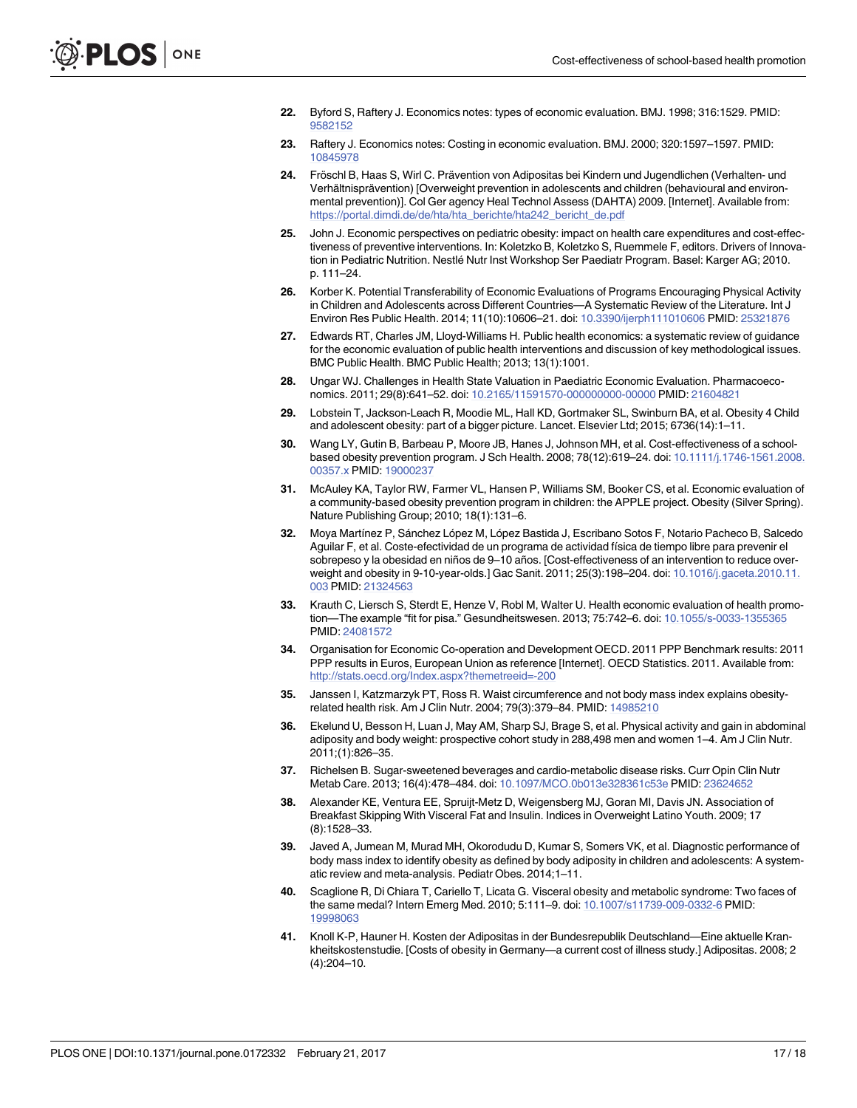- <span id="page-16-0"></span>**[22](#page-5-0).** Byford S, Raftery J. Economics notes: types of economic evaluation. BMJ. 1998; 316:1529. PMID: [9582152](http://www.ncbi.nlm.nih.gov/pubmed/9582152)
- **[23](#page-5-0).** Raftery J. Economics notes: Costing in economic evaluation. BMJ. 2000; 320:1597–1597. PMID: [10845978](http://www.ncbi.nlm.nih.gov/pubmed/10845978)
- [24](#page-9-0). Fröschl B, Haas S, Wirl C. Prävention von Adipositas bei Kindern und Jugendlichen (Verhalten- und Verhältnisprävention) [Overweight prevention in adolescents and children (behavioural and environmental prevention)]. Col Ger agency Heal Technol Assess (DAHTA) 2009. [Internet]. Available from: [https://portal.dimdi.de/de/hta/hta\\_berichte/hta242\\_bericht\\_de.pdf](https://portal.dimdi.de/de/hta/hta_berichte/hta242_bericht_de.pdf)
- **[25](#page-9-0).** John J. Economic perspectives on pediatric obesity: impact on health care expenditures and cost-effectiveness of preventive interventions. In: Koletzko B, Koletzko S, Ruemmele F, editors. Drivers of Innovation in Pediatric Nutrition. Nestlé Nutr Inst Workshop Ser Paediatr Program. Basel: Karger AG; 2010. p. 111–24.
- **[26](#page-9-0).** Korber K. Potential Transferability of Economic Evaluations of Programs Encouraging Physical Activity in Children and Adolescents across Different Countries—A Systematic Review of the Literature. Int J Environ Res Public Health. 2014; 11(10):10606–21. doi: [10.3390/ijerph111010606](http://dx.doi.org/10.3390/ijerph111010606) PMID: [25321876](http://www.ncbi.nlm.nih.gov/pubmed/25321876)
- **[27](#page-10-0).** Edwards RT, Charles JM, Lloyd-Williams H. Public health economics: a systematic review of guidance for the economic evaluation of public health interventions and discussion of key methodological issues. BMC Public Health. BMC Public Health; 2013; 13(1):1001.
- **[28](#page-11-0).** Ungar WJ. Challenges in Health State Valuation in Paediatric Economic Evaluation. Pharmacoeconomics. 2011; 29(8):641–52. doi: [10.2165/11591570-000000000-00000](http://dx.doi.org/10.2165/11591570-000000000-00000) PMID: [21604821](http://www.ncbi.nlm.nih.gov/pubmed/21604821)
- **[29](#page-11-0).** Lobstein T, Jackson-Leach R, Moodie ML, Hall KD, Gortmaker SL, Swinburn BA, et al. Obesity 4 Child and adolescent obesity: part of a bigger picture. Lancet. Elsevier Ltd; 2015; 6736(14):1–11.
- **[30](#page-11-0).** Wang LY, Gutin B, Barbeau P, Moore JB, Hanes J, Johnson MH, et al. Cost-effectiveness of a schoolbased obesity prevention program. J Sch Health. 2008; 78(12):619–24. doi: [10.1111/j.1746-1561.2008.](http://dx.doi.org/10.1111/j.1746-1561.2008.00357.x) [00357.x](http://dx.doi.org/10.1111/j.1746-1561.2008.00357.x) PMID: [19000237](http://www.ncbi.nlm.nih.gov/pubmed/19000237)
- **[31](#page-11-0).** McAuley KA, Taylor RW, Farmer VL, Hansen P, Williams SM, Booker CS, et al. Economic evaluation of a community-based obesity prevention program in children: the APPLE project. Obesity (Silver Spring). Nature Publishing Group; 2010; 18(1):131–6.
- **[32](#page-11-0).** Moya Martínez P, Sánchez López M, López Bastida J, Escribano Sotos F, Notario Pacheco B, Salcedo Aguilar F, et al. Coste-efectividad de un programa de actividad física de tiempo libre para prevenir el sobrepeso y la obesidad en niños de 9–10 años. [Cost-effectiveness of an intervention to reduce overweight and obesity in 9-10-year-olds.] Gac Sanit. 2011; 25(3):198–204. doi: [10.1016/j.gaceta.2010.11.](http://dx.doi.org/10.1016/j.gaceta.2010.11.003) [003](http://dx.doi.org/10.1016/j.gaceta.2010.11.003) PMID: [21324563](http://www.ncbi.nlm.nih.gov/pubmed/21324563)
- **[33](#page-11-0).** Krauth C, Liersch S, Sterdt E, Henze V, Robl M, Walter U. Health economic evaluation of health promotion—The example "fit for pisa." Gesundheitswesen. 2013; 75:742–6. doi: [10.1055/s-0033-1355365](http://dx.doi.org/10.1055/s-0033-1355365) PMID: [24081572](http://www.ncbi.nlm.nih.gov/pubmed/24081572)
- **[34](#page-11-0).** Organisation for Economic Co-operation and Development OECD. 2011 PPP Benchmark results: 2011 PPP results in Euros, European Union as reference [Internet]. OECD Statistics. 2011. Available from: <http://stats.oecd.org/Index.aspx?themetreeid=-200>
- **[35](#page-12-0).** Janssen I, Katzmarzyk PT, Ross R. Waist circumference and not body mass index explains obesityrelated health risk. Am J Clin Nutr. 2004; 79(3):379–84. PMID: [14985210](http://www.ncbi.nlm.nih.gov/pubmed/14985210)
- **[36](#page-12-0).** Ekelund U, Besson H, Luan J, May AM, Sharp SJ, Brage S, et al. Physical activity and gain in abdominal adiposity and body weight: prospective cohort study in 288,498 men and women 1–4. Am J Clin Nutr. 2011;(1):826–35.
- **[37](#page-12-0).** Richelsen B. Sugar-sweetened beverages and cardio-metabolic disease risks. Curr Opin Clin Nutr Metab Care. 2013; 16(4):478–484. doi: [10.1097/MCO.0b013e328361c53e](http://dx.doi.org/10.1097/MCO.0b013e328361c53e) PMID: [23624652](http://www.ncbi.nlm.nih.gov/pubmed/23624652)
- **[38](#page-12-0).** Alexander KE, Ventura EE, Spruijt-Metz D, Weigensberg MJ, Goran MI, Davis JN. Association of Breakfast Skipping With Visceral Fat and Insulin. Indices in Overweight Latino Youth. 2009; 17 (8):1528–33.
- **[39](#page-12-0).** Javed A, Jumean M, Murad MH, Okorodudu D, Kumar S, Somers VK, et al. Diagnostic performance of body mass index to identify obesity as defined by body adiposity in children and adolescents: A systematic review and meta-analysis. Pediatr Obes. 2014;1–11.
- **[40](#page-12-0).** Scaglione R, Di Chiara T, Cariello T, Licata G. Visceral obesity and metabolic syndrome: Two faces of the same medal? Intern Emerg Med. 2010; 5:111–9. doi: [10.1007/s11739-009-0332-6](http://dx.doi.org/10.1007/s11739-009-0332-6) PMID: [19998063](http://www.ncbi.nlm.nih.gov/pubmed/19998063)
- **[41](#page-12-0).** Knoll K-P, Hauner H. Kosten der Adipositas in der Bundesrepublik Deutschland—Eine aktuelle Krankheitskostenstudie. [Costs of obesity in Germany—a current cost of illness study.] Adipositas. 2008; 2 (4):204–10.